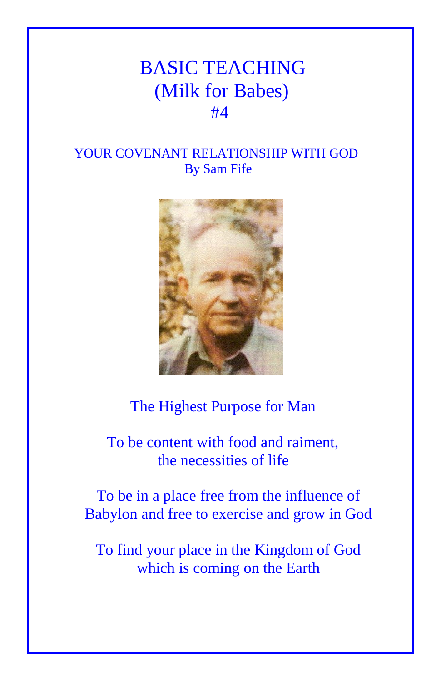## BASIC TEACHING (Milk for Babes) **#4**

## YOUR COVENANT RELATIONSHIP WITH GOD By Sam Fife



## The Highest Purpose for Man

 To be content with food and raiment, the necessities of life

To be in a place free from the influence of Babylon and free to exercise and grow in God

To find your place in the Kingdom of God which is coming on the Earth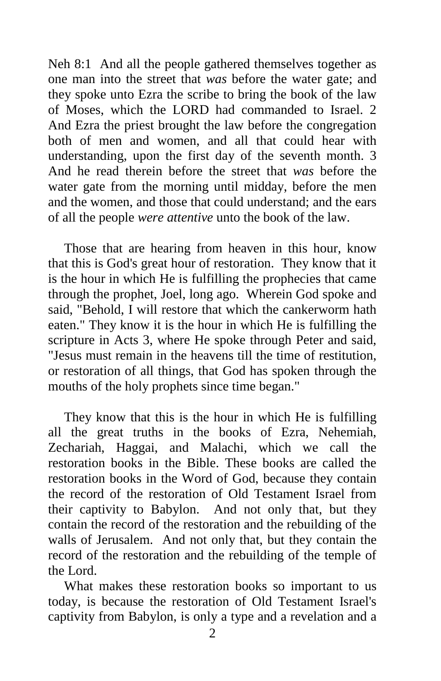Neh 8:1 And all the people gathered themselves together as one man into the street that *was* before the water gate; and they spoke unto Ezra the scribe to bring the book of the law of Moses, which the LORD had commanded to Israel. 2 And Ezra the priest brought the law before the congregation both of men and women, and all that could hear with understanding, upon the first day of the seventh month. 3 And he read therein before the street that *was* before the water gate from the morning until midday, before the men and the women, and those that could understand; and the ears of all the people *were attentive* unto the book of the law.

Those that are hearing from heaven in this hour, know that this is God's great hour of restoration. They know that it is the hour in which He is fulfilling the prophecies that came through the prophet, Joel, long ago. Wherein God spoke and said, "Behold, I will restore that which the cankerworm hath eaten." They know it is the hour in which He is fulfilling the scripture in Acts 3, where He spoke through Peter and said, "Jesus must remain in the heavens till the time of restitution, or restoration of all things, that God has spoken through the mouths of the holy prophets since time began."

They know that this is the hour in which He is fulfilling all the great truths in the books of Ezra, Nehemiah, Zechariah, Haggai, and Malachi, which we call the restoration books in the Bible. These books are called the restoration books in the Word of God, because they contain the record of the restoration of Old Testament Israel from their captivity to Babylon. And not only that, but they contain the record of the restoration and the rebuilding of the walls of Jerusalem. And not only that, but they contain the record of the restoration and the rebuilding of the temple of the Lord.

What makes these restoration books so important to us today, is because the restoration of Old Testament Israel's captivity from Babylon, is only a type and a revelation and a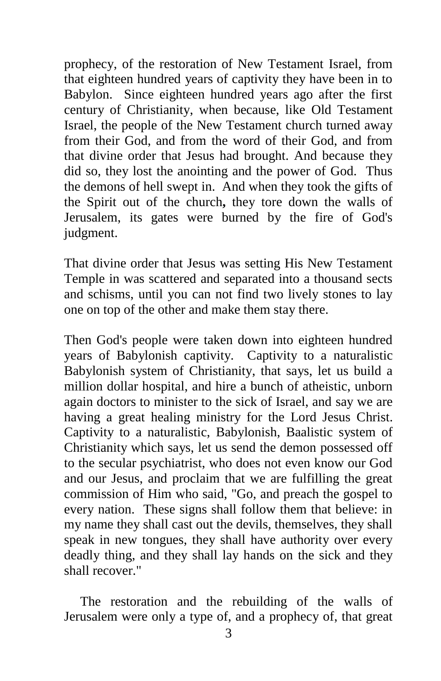prophecy, of the restoration of New Testament Israel, from that eighteen hundred years of captivity they have been in to Babylon. Since eighteen hundred years ago after the first century of Christianity, when because, like Old Testament Israel, the people of the New Testament church turned away from their God, and from the word of their God, and from that divine order that Jesus had brought. And because they did so, they lost the anointing and the power of God. Thus the demons of hell swept in. And when they took the gifts of the Spirit out of the church**,** they tore down the walls of Jerusalem, its gates were burned by the fire of God's judgment.

That divine order that Jesus was setting His New Testament Temple in was scattered and separated into a thousand sects and schisms, until you can not find two lively stones to lay one on top of the other and make them stay there.

Then God's people were taken down into eighteen hundred years of Babylonish captivity. Captivity to a naturalistic Babylonish system of Christianity, that says, let us build a million dollar hospital, and hire a bunch of atheistic, unborn again doctors to minister to the sick of Israel, and say we are having a great healing ministry for the Lord Jesus Christ. Captivity to a naturalistic, Babylonish, Baalistic system of Christianity which says, let us send the demon possessed off to the secular psychiatrist, who does not even know our God and our Jesus, and proclaim that we are fulfilling the great commission of Him who said, "Go, and preach the gospel to every nation. These signs shall follow them that believe: in my name they shall cast out the devils, themselves, they shall speak in new tongues, they shall have authority over every deadly thing, and they shall lay hands on the sick and they shall recover."

The restoration and the rebuilding of the walls of Jerusalem were only a type of, and a prophecy of, that great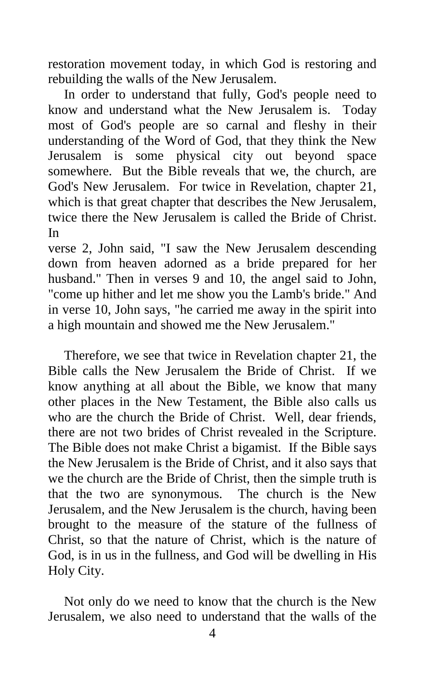restoration movement today, in which God is restoring and rebuilding the walls of the New Jerusalem.

In order to understand that fully, God's people need to know and understand what the New Jerusalem is. Today most of God's people are so carnal and fleshy in their understanding of the Word of God, that they think the New Jerusalem is some physical city out beyond space somewhere. But the Bible reveals that we, the church, are God's New Jerusalem. For twice in Revelation, chapter 21, which is that great chapter that describes the New Jerusalem, twice there the New Jerusalem is called the Bride of Christ. In

verse 2, John said, "I saw the New Jerusalem descending down from heaven adorned as a bride prepared for her husband." Then in verses 9 and 10, the angel said to John, "come up hither and let me show you the Lamb's bride." And in verse 10, John says, "he carried me away in the spirit into a high mountain and showed me the New Jerusalem."

Therefore, we see that twice in Revelation chapter 21, the Bible calls the New Jerusalem the Bride of Christ. If we know anything at all about the Bible, we know that many other places in the New Testament, the Bible also calls us who are the church the Bride of Christ. Well, dear friends, there are not two brides of Christ revealed in the Scripture. The Bible does not make Christ a bigamist. If the Bible says the New Jerusalem is the Bride of Christ, and it also says that we the church are the Bride of Christ, then the simple truth is that the two are synonymous. The church is the New Jerusalem, and the New Jerusalem is the church, having been brought to the measure of the stature of the fullness of Christ, so that the nature of Christ, which is the nature of God, is in us in the fullness, and God will be dwelling in His Holy City.

Not only do we need to know that the church is the New Jerusalem, we also need to understand that the walls of the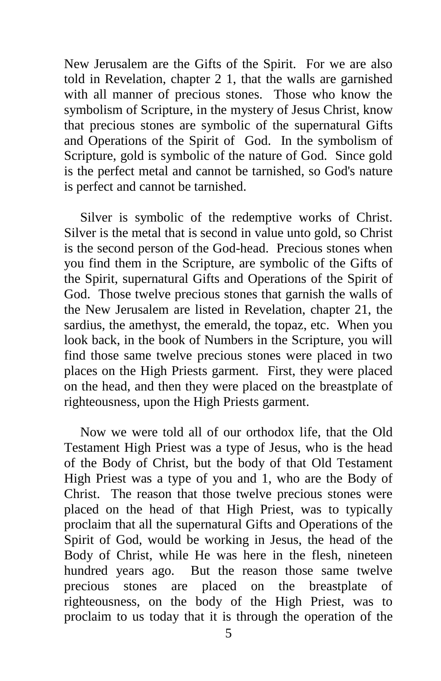New Jerusalem are the Gifts of the Spirit. For we are also told in Revelation, chapter 2 1, that the walls are garnished with all manner of precious stones. Those who know the symbolism of Scripture, in the mystery of Jesus Christ, know that precious stones are symbolic of the supernatural Gifts and Operations of the Spirit of God. In the symbolism of Scripture, gold is symbolic of the nature of God. Since gold is the perfect metal and cannot be tarnished, so God's nature is perfect and cannot be tarnished.

Silver is symbolic of the redemptive works of Christ. Silver is the metal that is second in value unto gold, so Christ is the second person of the God-head. Precious stones when you find them in the Scripture, are symbolic of the Gifts of the Spirit, supernatural Gifts and Operations of the Spirit of God. Those twelve precious stones that garnish the walls of the New Jerusalem are listed in Revelation, chapter 21, the sardius, the amethyst, the emerald, the topaz, etc. When you look back, in the book of Numbers in the Scripture, you will find those same twelve precious stones were placed in two places on the High Priests garment. First, they were placed on the head, and then they were placed on the breastplate of righteousness, upon the High Priests garment.

Now we were told all of our orthodox life, that the Old Testament High Priest was a type of Jesus, who is the head of the Body of Christ, but the body of that Old Testament High Priest was a type of you and 1, who are the Body of Christ. The reason that those twelve precious stones were placed on the head of that High Priest, was to typically proclaim that all the supernatural Gifts and Operations of the Spirit of God, would be working in Jesus, the head of the Body of Christ, while He was here in the flesh, nineteen hundred years ago. But the reason those same twelve precious stones are placed on the breastplate of righteousness, on the body of the High Priest, was to proclaim to us today that it is through the operation of the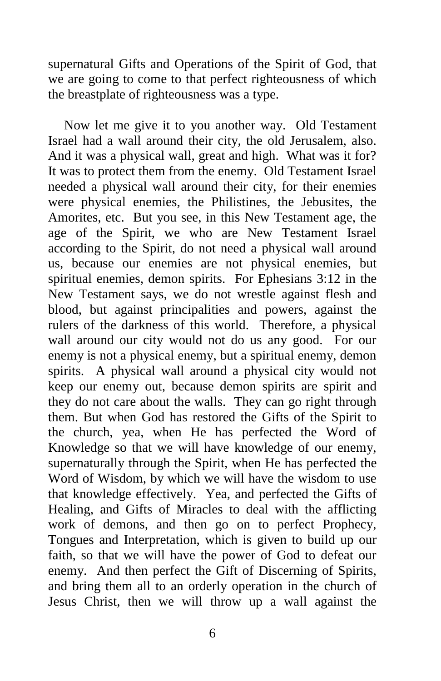supernatural Gifts and Operations of the Spirit of God, that we are going to come to that perfect righteousness of which the breastplate of righteousness was a type.

Now let me give it to you another way. Old Testament Israel had a wall around their city, the old Jerusalem, also. And it was a physical wall, great and high. What was it for? It was to protect them from the enemy. Old Testament Israel needed a physical wall around their city, for their enemies were physical enemies, the Philistines, the Jebusites, the Amorites, etc. But you see, in this New Testament age, the age of the Spirit, we who are New Testament Israel according to the Spirit, do not need a physical wall around us, because our enemies are not physical enemies, but spiritual enemies, demon spirits. For Ephesians 3:12 in the New Testament says, we do not wrestle against flesh and blood, but against principalities and powers, against the rulers of the darkness of this world. Therefore, a physical wall around our city would not do us any good. For our enemy is not a physical enemy, but a spiritual enemy, demon spirits. A physical wall around a physical city would not keep our enemy out, because demon spirits are spirit and they do not care about the walls. They can go right through them. But when God has restored the Gifts of the Spirit to the church, yea, when He has perfected the Word of Knowledge so that we will have knowledge of our enemy, supernaturally through the Spirit, when He has perfected the Word of Wisdom, by which we will have the wisdom to use that knowledge effectively. Yea, and perfected the Gifts of Healing, and Gifts of Miracles to deal with the afflicting work of demons, and then go on to perfect Prophecy, Tongues and Interpretation, which is given to build up our faith, so that we will have the power of God to defeat our enemy. And then perfect the Gift of Discerning of Spirits, and bring them all to an orderly operation in the church of Jesus Christ, then we will throw up a wall against the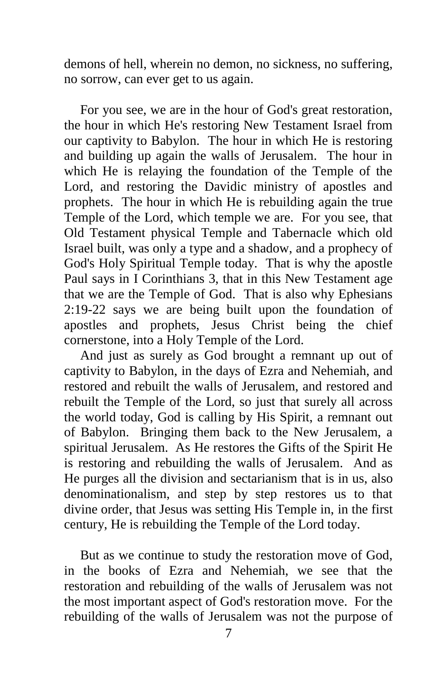demons of hell, wherein no demon, no sickness, no suffering, no sorrow, can ever get to us again.

For you see, we are in the hour of God's great restoration, the hour in which He's restoring New Testament Israel from our captivity to Babylon. The hour in which He is restoring and building up again the walls of Jerusalem. The hour in which He is relaying the foundation of the Temple of the Lord, and restoring the Davidic ministry of apostles and prophets. The hour in which He is rebuilding again the true Temple of the Lord, which temple we are. For you see, that Old Testament physical Temple and Tabernacle which old Israel built, was only a type and a shadow, and a prophecy of God's Holy Spiritual Temple today. That is why the apostle Paul says in I Corinthians 3, that in this New Testament age that we are the Temple of God. That is also why Ephesians 2:19-22 says we are being built upon the foundation of apostles and prophets, Jesus Christ being the chief cornerstone, into a Holy Temple of the Lord.

And just as surely as God brought a remnant up out of captivity to Babylon, in the days of Ezra and Nehemiah, and restored and rebuilt the walls of Jerusalem, and restored and rebuilt the Temple of the Lord, so just that surely all across the world today, God is calling by His Spirit, a remnant out of Babylon. Bringing them back to the New Jerusalem, a spiritual Jerusalem. As He restores the Gifts of the Spirit He is restoring and rebuilding the walls of Jerusalem. And as He purges all the division and sectarianism that is in us, also denominationalism, and step by step restores us to that divine order, that Jesus was setting His Temple in, in the first century, He is rebuilding the Temple of the Lord today.

But as we continue to study the restoration move of God, in the books of Ezra and Nehemiah, we see that the restoration and rebuilding of the walls of Jerusalem was not the most important aspect of God's restoration move. For the rebuilding of the walls of Jerusalem was not the purpose of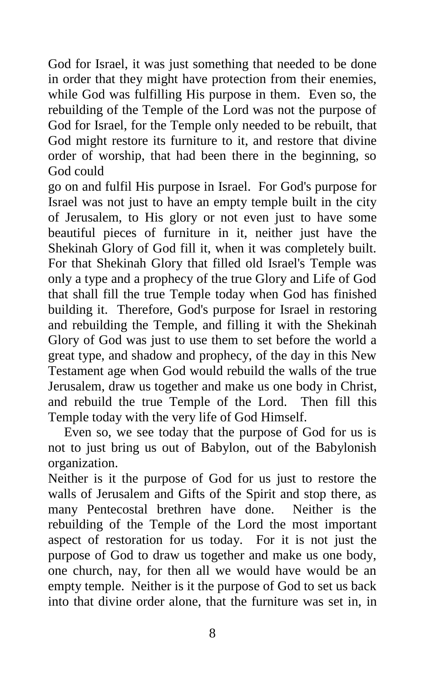God for Israel, it was just something that needed to be done in order that they might have protection from their enemies, while God was fulfilling His purpose in them. Even so, the rebuilding of the Temple of the Lord was not the purpose of God for Israel, for the Temple only needed to be rebuilt, that God might restore its furniture to it, and restore that divine order of worship, that had been there in the beginning, so God could

go on and fulfil His purpose in Israel. For God's purpose for Israel was not just to have an empty temple built in the city of Jerusalem, to His glory or not even just to have some beautiful pieces of furniture in it, neither just have the Shekinah Glory of God fill it, when it was completely built. For that Shekinah Glory that filled old Israel's Temple was only a type and a prophecy of the true Glory and Life of God that shall fill the true Temple today when God has finished building it. Therefore, God's purpose for Israel in restoring and rebuilding the Temple, and filling it with the Shekinah Glory of God was just to use them to set before the world a great type, and shadow and prophecy, of the day in this New Testament age when God would rebuild the walls of the true Jerusalem, draw us together and make us one body in Christ, and rebuild the true Temple of the Lord. Then fill this Temple today with the very life of God Himself.

Even so, we see today that the purpose of God for us is not to just bring us out of Babylon, out of the Babylonish organization.

Neither is it the purpose of God for us just to restore the walls of Jerusalem and Gifts of the Spirit and stop there, as many Pentecostal brethren have done. Neither is the rebuilding of the Temple of the Lord the most important aspect of restoration for us today. For it is not just the purpose of God to draw us together and make us one body, one church, nay, for then all we would have would be an empty temple. Neither is it the purpose of God to set us back into that divine order alone, that the furniture was set in, in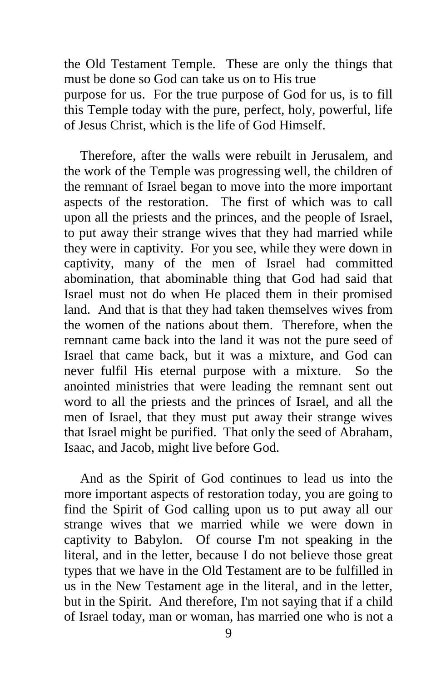the Old Testament Temple. These are only the things that must be done so God can take us on to His true purpose for us. For the true purpose of God for us, is to fill this Temple today with the pure, perfect, holy, powerful, life of Jesus Christ, which is the life of God Himself.

Therefore, after the walls were rebuilt in Jerusalem, and the work of the Temple was progressing well, the children of the remnant of Israel began to move into the more important aspects of the restoration. The first of which was to call upon all the priests and the princes, and the people of Israel, to put away their strange wives that they had married while they were in captivity. For you see, while they were down in captivity, many of the men of Israel had committed abomination, that abominable thing that God had said that Israel must not do when He placed them in their promised land. And that is that they had taken themselves wives from the women of the nations about them. Therefore, when the remnant came back into the land it was not the pure seed of Israel that came back, but it was a mixture, and God can never fulfil His eternal purpose with a mixture. So the anointed ministries that were leading the remnant sent out word to all the priests and the princes of Israel, and all the men of Israel, that they must put away their strange wives that Israel might be purified. That only the seed of Abraham, Isaac, and Jacob, might live before God.

And as the Spirit of God continues to lead us into the more important aspects of restoration today, you are going to find the Spirit of God calling upon us to put away all our strange wives that we married while we were down in captivity to Babylon. Of course I'm not speaking in the literal, and in the letter, because I do not believe those great types that we have in the Old Testament are to be fulfilled in us in the New Testament age in the literal, and in the letter, but in the Spirit. And therefore, I'm not saying that if a child of Israel today, man or woman, has married one who is not a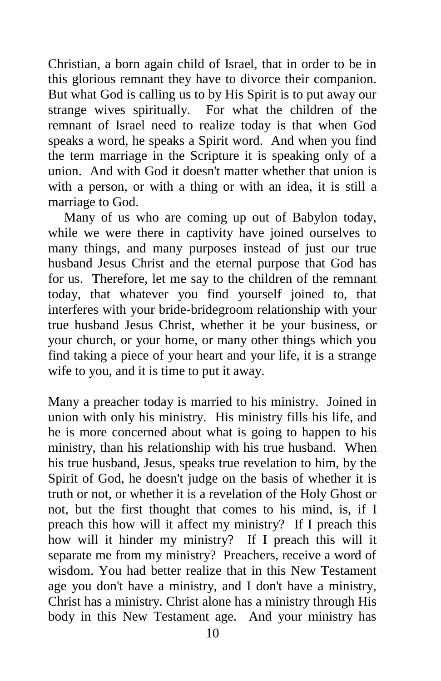Christian, a born again child of Israel, that in order to be in this glorious remnant they have to divorce their companion. But what God is calling us to by His Spirit is to put away our strange wives spiritually. For what the children of the remnant of Israel need to realize today is that when God speaks a word, he speaks a Spirit word. And when you find the term marriage in the Scripture it is speaking only of a union. And with God it doesn't matter whether that union is with a person, or with a thing or with an idea, it is still a marriage to God.

Many of us who are coming up out of Babylon today, while we were there in captivity have joined ourselves to many things, and many purposes instead of just our true husband Jesus Christ and the eternal purpose that God has for us. Therefore, let me say to the children of the remnant today, that whatever you find yourself joined to, that interferes with your bride-bridegroom relationship with your true husband Jesus Christ, whether it be your business, or your church, or your home, or many other things which you find taking a piece of your heart and your life, it is a strange wife to you, and it is time to put it away.

Many a preacher today is married to his ministry. Joined in union with only his ministry. His ministry fills his life, and he is more concerned about what is going to happen to his ministry, than his relationship with his true husband. When his true husband, Jesus, speaks true revelation to him, by the Spirit of God, he doesn't judge on the basis of whether it is truth or not, or whether it is a revelation of the Holy Ghost or not, but the first thought that comes to his mind, is, if I preach this how will it affect my ministry? If I preach this how will it hinder my ministry? If I preach this will it separate me from my ministry? Preachers, receive a word of wisdom. You had better realize that in this New Testament age you don't have a ministry, and I don't have a ministry, Christ has a ministry. Christ alone has a ministry through His body in this New Testament age. And your ministry has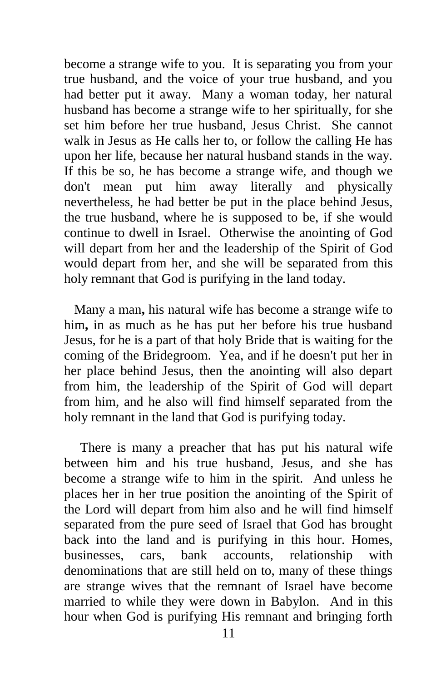become a strange wife to you. It is separating you from your true husband, and the voice of your true husband, and you had better put it away. Many a woman today, her natural husband has become a strange wife to her spiritually, for she set him before her true husband, Jesus Christ. She cannot walk in Jesus as He calls her to, or follow the calling He has upon her life, because her natural husband stands in the way. If this be so, he has become a strange wife, and though we don't mean put him away literally and physically nevertheless, he had better be put in the place behind Jesus, the true husband, where he is supposed to be, if she would continue to dwell in Israel. Otherwise the anointing of God will depart from her and the leadership of the Spirit of God would depart from her, and she will be separated from this holy remnant that God is purifying in the land today.

 Many a man**,** his natural wife has become a strange wife to him**,** in as much as he has put her before his true husband Jesus, for he is a part of that holy Bride that is waiting for the coming of the Bridegroom. Yea, and if he doesn't put her in her place behind Jesus, then the anointing will also depart from him, the leadership of the Spirit of God will depart from him, and he also will find himself separated from the holy remnant in the land that God is purifying today.

There is many a preacher that has put his natural wife between him and his true husband, Jesus, and she has become a strange wife to him in the spirit. And unless he places her in her true position the anointing of the Spirit of the Lord will depart from him also and he will find himself separated from the pure seed of Israel that God has brought back into the land and is purifying in this hour. Homes, businesses, cars, bank accounts, relationship with denominations that are still held on to, many of these things are strange wives that the remnant of Israel have become married to while they were down in Babylon. And in this hour when God is purifying His remnant and bringing forth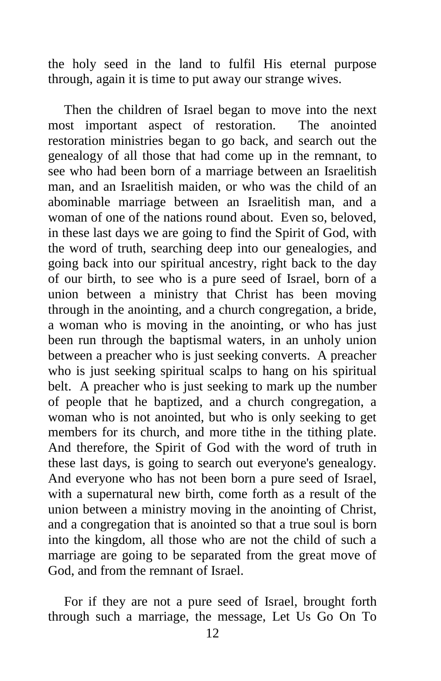the holy seed in the land to fulfil His eternal purpose through, again it is time to put away our strange wives.

Then the children of Israel began to move into the next most important aspect of restoration. The anointed restoration ministries began to go back, and search out the genealogy of all those that had come up in the remnant, to see who had been born of a marriage between an Israelitish man, and an Israelitish maiden, or who was the child of an abominable marriage between an Israelitish man, and a woman of one of the nations round about. Even so, beloved, in these last days we are going to find the Spirit of God, with the word of truth, searching deep into our genealogies, and going back into our spiritual ancestry, right back to the day of our birth, to see who is a pure seed of Israel, born of a union between a ministry that Christ has been moving through in the anointing, and a church congregation, a bride, a woman who is moving in the anointing, or who has just been run through the baptismal waters, in an unholy union between a preacher who is just seeking converts. A preacher who is just seeking spiritual scalps to hang on his spiritual belt. A preacher who is just seeking to mark up the number of people that he baptized, and a church congregation, a woman who is not anointed, but who is only seeking to get members for its church, and more tithe in the tithing plate. And therefore, the Spirit of God with the word of truth in these last days, is going to search out everyone's genealogy. And everyone who has not been born a pure seed of Israel, with a supernatural new birth, come forth as a result of the union between a ministry moving in the anointing of Christ, and a congregation that is anointed so that a true soul is born into the kingdom, all those who are not the child of such a marriage are going to be separated from the great move of God, and from the remnant of Israel.

For if they are not a pure seed of Israel, brought forth through such a marriage, the message, Let Us Go On To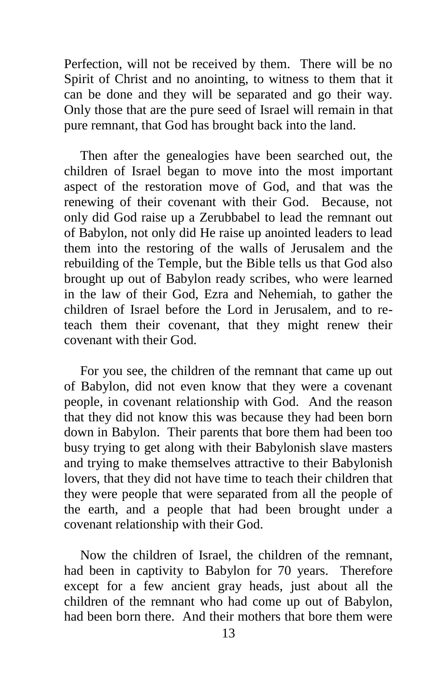Perfection, will not be received by them. There will be no Spirit of Christ and no anointing, to witness to them that it can be done and they will be separated and go their way. Only those that are the pure seed of Israel will remain in that pure remnant, that God has brought back into the land.

Then after the genealogies have been searched out, the children of Israel began to move into the most important aspect of the restoration move of God, and that was the renewing of their covenant with their God. Because, not only did God raise up a Zerubbabel to lead the remnant out of Babylon, not only did He raise up anointed leaders to lead them into the restoring of the walls of Jerusalem and the rebuilding of the Temple, but the Bible tells us that God also brought up out of Babylon ready scribes, who were learned in the law of their God, Ezra and Nehemiah, to gather the children of Israel before the Lord in Jerusalem, and to reteach them their covenant, that they might renew their covenant with their God.

For you see, the children of the remnant that came up out of Babylon, did not even know that they were a covenant people, in covenant relationship with God. And the reason that they did not know this was because they had been born down in Babylon. Their parents that bore them had been too busy trying to get along with their Babylonish slave masters and trying to make themselves attractive to their Babylonish lovers, that they did not have time to teach their children that they were people that were separated from all the people of the earth, and a people that had been brought under a covenant relationship with their God.

Now the children of Israel, the children of the remnant, had been in captivity to Babylon for 70 years. Therefore except for a few ancient gray heads, just about all the children of the remnant who had come up out of Babylon, had been born there. And their mothers that bore them were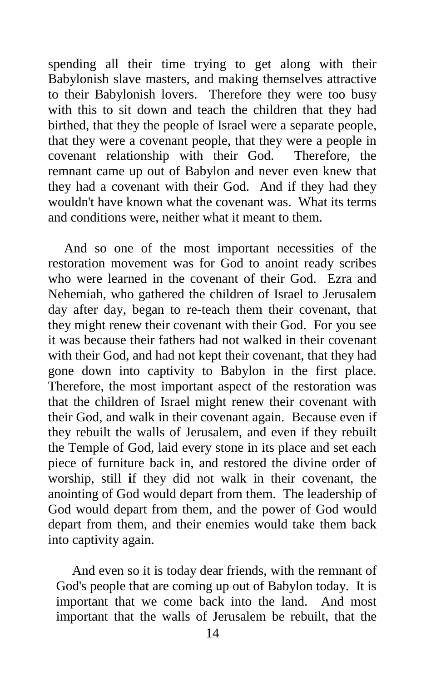spending all their time trying to get along with their Babylonish slave masters, and making themselves attractive to their Babylonish lovers. Therefore they were too busy with this to sit down and teach the children that they had birthed, that they the people of Israel were a separate people, that they were a covenant people, that they were a people in covenant relationship with their God. Therefore, the remnant came up out of Babylon and never even knew that they had a covenant with their God. And if they had they wouldn't have known what the covenant was. What its terms and conditions were, neither what it meant to them.

And so one of the most important necessities of the restoration movement was for God to anoint ready scribes who were learned in the covenant of their God. Ezra and Nehemiah, who gathered the children of Israel to Jerusalem day after day, began to re-teach them their covenant, that they might renew their covenant with their God. For you see it was because their fathers had not walked in their covenant with their God, and had not kept their covenant, that they had gone down into captivity to Babylon in the first place. Therefore, the most important aspect of the restoration was that the children of Israel might renew their covenant with their God, and walk in their covenant again. Because even if they rebuilt the walls of Jerusalem, and even if they rebuilt the Temple of God, laid every stone in its place and set each piece of furniture back in, and restored the divine order of worship, still **i**f they did not walk in their covenant, the anointing of God would depart from them. The leadership of God would depart from them, and the power of God would depart from them, and their enemies would take them back into captivity again.

And even so it is today dear friends, with the remnant of God's people that are coming up out of Babylon today. It is important that we come back into the land. And most important that the walls of Jerusalem be rebuilt, that the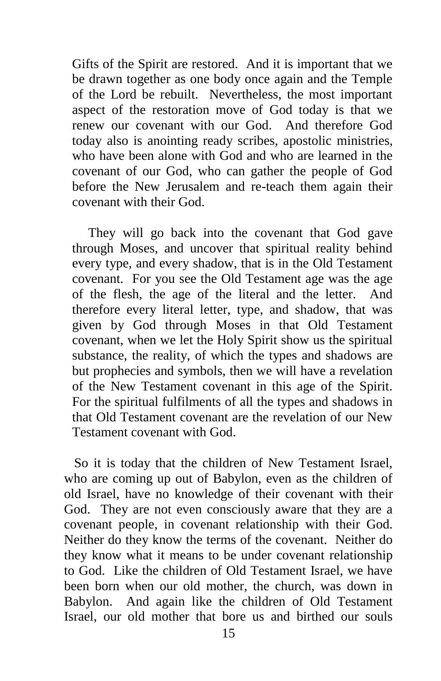Gifts of the Spirit are restored. And it is important that we be drawn together as one body once again and the Temple of the Lord be rebuilt. Nevertheless, the most important aspect of the restoration move of God today is that we renew our covenant with our God. And therefore God today also is anointing ready scribes, apostolic ministries, who have been alone with God and who are learned in the covenant of our God, who can gather the people of God before the New Jerusalem and re-teach them again their covenant with their God.

They will go back into the covenant that God gave through Moses, and uncover that spiritual reality behind every type, and every shadow, that is in the Old Testament covenant. For you see the Old Testament age was the age of the flesh, the age of the literal and the letter. And therefore every literal letter, type, and shadow, that was given by God through Moses in that Old Testament covenant, when we let the Holy Spirit show us the spiritual substance, the reality, of which the types and shadows are but prophecies and symbols, then we will have a revelation of the New Testament covenant in this age of the Spirit. For the spiritual fulfilments of all the types and shadows in that Old Testament covenant are the revelation of our New Testament covenant with God.

 So it is today that the children of New Testament Israel, who are coming up out of Babylon, even as the children of old Israel, have no knowledge of their covenant with their God. They are not even consciously aware that they are a covenant people, in covenant relationship with their God. Neither do they know the terms of the covenant. Neither do they know what it means to be under covenant relationship to God. Like the children of Old Testament Israel, we have been born when our old mother, the church, was down in Babylon. And again like the children of Old Testament Israel, our old mother that bore us and birthed our souls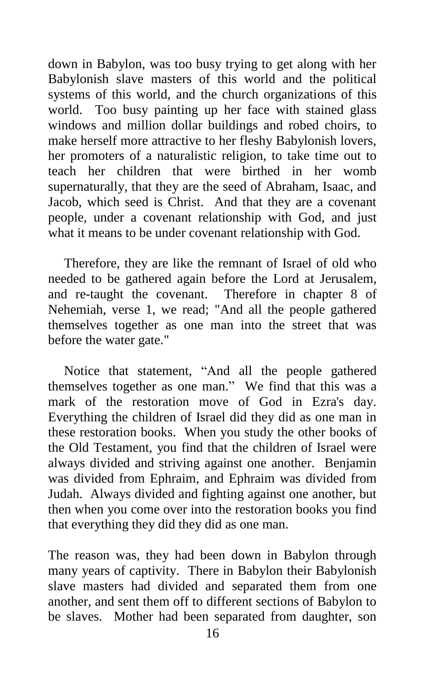down in Babylon, was too busy trying to get along with her Babylonish slave masters of this world and the political systems of this world, and the church organizations of this world. Too busy painting up her face with stained glass windows and million dollar buildings and robed choirs, to make herself more attractive to her fleshy Babylonish lovers, her promoters of a naturalistic religion, to take time out to teach her children that were birthed in her womb supernaturally, that they are the seed of Abraham, Isaac, and Jacob, which seed is Christ. And that they are a covenant people, under a covenant relationship with God, and just what it means to be under covenant relationship with God.

Therefore, they are like the remnant of Israel of old who needed to be gathered again before the Lord at Jerusalem, and re-taught the covenant. Therefore in chapter 8 of Nehemiah, verse 1, we read; "And all the people gathered themselves together as one man into the street that was before the water gate."

Notice that statement, "And all the people gathered themselves together as one man." We find that this was a mark of the restoration move of God in Ezra's day. Everything the children of Israel did they did as one man in these restoration books. When you study the other books of the Old Testament, you find that the children of Israel were always divided and striving against one another. Benjamin was divided from Ephraim, and Ephraim was divided from Judah. Always divided and fighting against one another, but then when you come over into the restoration books you find that everything they did they did as one man.

The reason was, they had been down in Babylon through many years of captivity. There in Babylon their Babylonish slave masters had divided and separated them from one another, and sent them off to different sections of Babylon to be slaves. Mother had been separated from daughter, son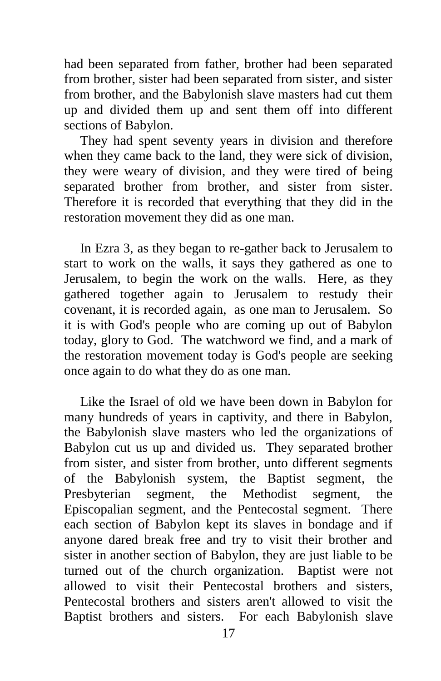had been separated from father, brother had been separated from brother, sister had been separated from sister, and sister from brother, and the Babylonish slave masters had cut them up and divided them up and sent them off into different sections of Babylon.

They had spent seventy years in division and therefore when they came back to the land, they were sick of division, they were weary of division, and they were tired of being separated brother from brother, and sister from sister. Therefore it is recorded that everything that they did in the restoration movement they did as one man.

In Ezra 3, as they began to re-gather back to Jerusalem to start to work on the walls, it says they gathered as one to Jerusalem, to begin the work on the walls. Here, as they gathered together again to Jerusalem to restudy their covenant, it is recorded again, as one man to Jerusalem. So it is with God's people who are coming up out of Babylon today, glory to God. The watchword we find, and a mark of the restoration movement today is God's people are seeking once again to do what they do as one man.

Like the Israel of old we have been down in Babylon for many hundreds of years in captivity, and there in Babylon, the Babylonish slave masters who led the organizations of Babylon cut us up and divided us. They separated brother from sister, and sister from brother, unto different segments of the Babylonish system, the Baptist segment, the Presbyterian segment, the Methodist segment, the Episcopalian segment, and the Pentecostal segment. There each section of Babylon kept its slaves in bondage and if anyone dared break free and try to visit their brother and sister in another section of Babylon, they are just liable to be turned out of the church organization. Baptist were not allowed to visit their Pentecostal brothers and sisters, Pentecostal brothers and sisters aren't allowed to visit the Baptist brothers and sisters. For each Babylonish slave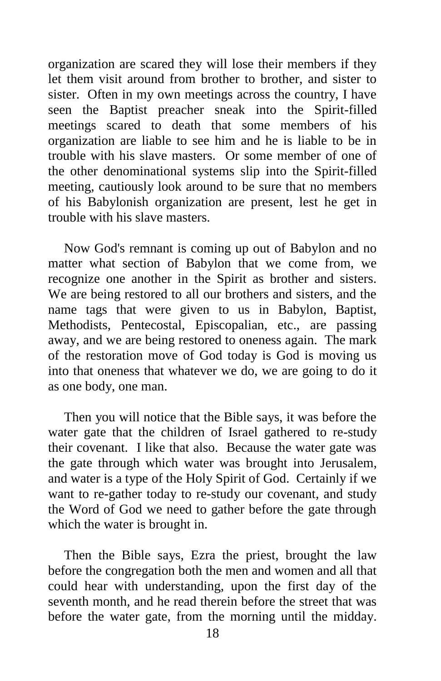organization are scared they will lose their members if they let them visit around from brother to brother, and sister to sister. Often in my own meetings across the country, I have seen the Baptist preacher sneak into the Spirit-filled meetings scared to death that some members of his organization are liable to see him and he is liable to be in trouble with his slave masters. Or some member of one of the other denominational systems slip into the Spirit-filled meeting, cautiously look around to be sure that no members of his Babylonish organization are present, lest he get in trouble with his slave masters.

Now God's remnant is coming up out of Babylon and no matter what section of Babylon that we come from, we recognize one another in the Spirit as brother and sisters. We are being restored to all our brothers and sisters, and the name tags that were given to us in Babylon, Baptist, Methodists, Pentecostal, Episcopalian, etc., are passing away, and we are being restored to oneness again. The mark of the restoration move of God today is God is moving us into that oneness that whatever we do, we are going to do it as one body, one man.

Then you will notice that the Bible says, it was before the water gate that the children of Israel gathered to re-study their covenant. I like that also. Because the water gate was the gate through which water was brought into Jerusalem, and water is a type of the Holy Spirit of God. Certainly if we want to re-gather today to re-study our covenant, and study the Word of God we need to gather before the gate through which the water is brought in.

Then the Bible says, Ezra the priest, brought the law before the congregation both the men and women and all that could hear with understanding, upon the first day of the seventh month, and he read therein before the street that was before the water gate, from the morning until the midday.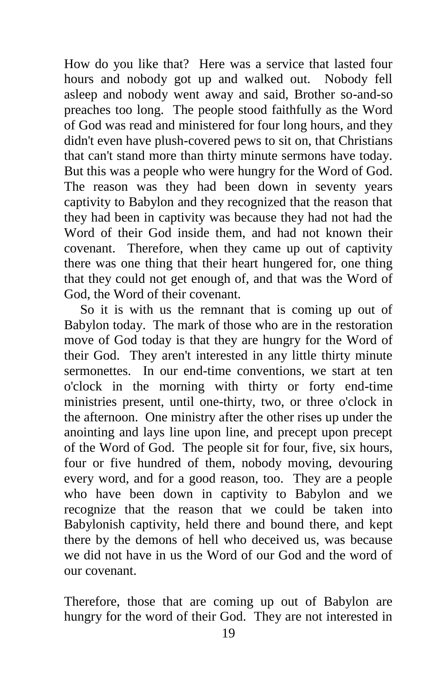How do you like that? Here was a service that lasted four hours and nobody got up and walked out. Nobody fell asleep and nobody went away and said, Brother so-and-so preaches too long. The people stood faithfully as the Word of God was read and ministered for four long hours, and they didn't even have plush-covered pews to sit on, that Christians that can't stand more than thirty minute sermons have today. But this was a people who were hungry for the Word of God. The reason was they had been down in seventy years captivity to Babylon and they recognized that the reason that they had been in captivity was because they had not had the Word of their God inside them, and had not known their covenant. Therefore, when they came up out of captivity there was one thing that their heart hungered for, one thing that they could not get enough of, and that was the Word of God, the Word of their covenant.

So it is with us the remnant that is coming up out of Babylon today. The mark of those who are in the restoration move of God today is that they are hungry for the Word of their God. They aren't interested in any little thirty minute sermonettes. In our end-time conventions, we start at ten o'clock in the morning with thirty or forty end-time ministries present, until one-thirty, two, or three o'clock in the afternoon. One ministry after the other rises up under the anointing and lays line upon line, and precept upon precept of the Word of God. The people sit for four, five, six hours, four or five hundred of them, nobody moving, devouring every word, and for a good reason, too. They are a people who have been down in captivity to Babylon and we recognize that the reason that we could be taken into Babylonish captivity, held there and bound there, and kept there by the demons of hell who deceived us, was because we did not have in us the Word of our God and the word of our covenant.

Therefore, those that are coming up out of Babylon are hungry for the word of their God. They are not interested in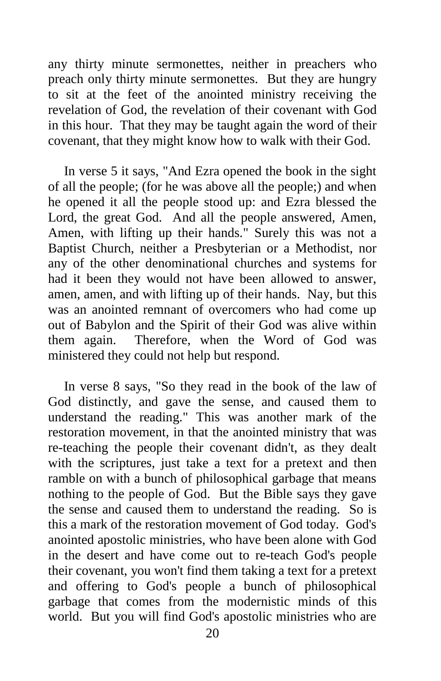any thirty minute sermonettes, neither in preachers who preach only thirty minute sermonettes. But they are hungry to sit at the feet of the anointed ministry receiving the revelation of God, the revelation of their covenant with God in this hour. That they may be taught again the word of their covenant, that they might know how to walk with their God.

In verse 5 it says, "And Ezra opened the book in the sight of all the people; (for he was above all the people;) and when he opened it all the people stood up: and Ezra blessed the Lord, the great God. And all the people answered, Amen, Amen, with lifting up their hands." Surely this was not a Baptist Church, neither a Presbyterian or a Methodist, nor any of the other denominational churches and systems for had it been they would not have been allowed to answer, amen, amen, and with lifting up of their hands. Nay, but this was an anointed remnant of overcomers who had come up out of Babylon and the Spirit of their God was alive within them again. Therefore, when the Word of God was ministered they could not help but respond.

In verse 8 says, "So they read in the book of the law of God distinctly, and gave the sense, and caused them to understand the reading." This was another mark of the restoration movement, in that the anointed ministry that was re-teaching the people their covenant didn't, as they dealt with the scriptures, just take a text for a pretext and then ramble on with a bunch of philosophical garbage that means nothing to the people of God. But the Bible says they gave the sense and caused them to understand the reading. So is this a mark of the restoration movement of God today. God's anointed apostolic ministries, who have been alone with God in the desert and have come out to re-teach God's people their covenant, you won't find them taking a text for a pretext and offering to God's people a bunch of philosophical garbage that comes from the modernistic minds of this world. But you will find God's apostolic ministries who are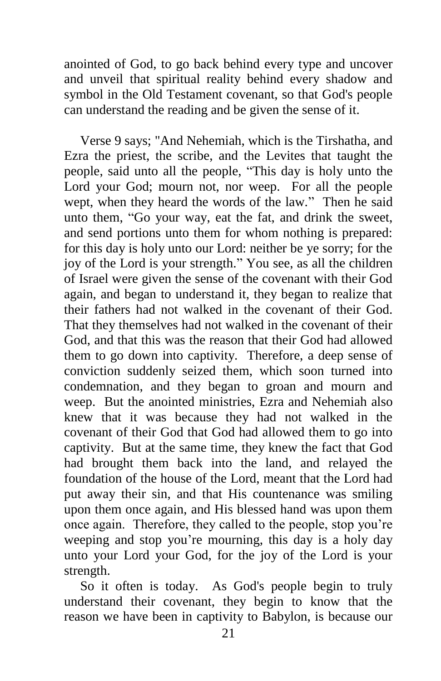anointed of God, to go back behind every type and uncover and unveil that spiritual reality behind every shadow and symbol in the Old Testament covenant, so that God's people can understand the reading and be given the sense of it.

Verse 9 says; "And Nehemiah, which is the Tirshatha, and Ezra the priest, the scribe, and the Levites that taught the people, said unto all the people, "This day is holy unto the Lord your God; mourn not, nor weep. For all the people wept, when they heard the words of the law." Then he said unto them, "Go your way, eat the fat, and drink the sweet, and send portions unto them for whom nothing is prepared: for this day is holy unto our Lord: neither be ye sorry; for the joy of the Lord is your strength." You see, as all the children of Israel were given the sense of the covenant with their God again, and began to understand it, they began to realize that their fathers had not walked in the covenant of their God. That they themselves had not walked in the covenant of their God, and that this was the reason that their God had allowed them to go down into captivity. Therefore, a deep sense of conviction suddenly seized them, which soon turned into condemnation, and they began to groan and mourn and weep. But the anointed ministries, Ezra and Nehemiah also knew that it was because they had not walked in the covenant of their God that God had allowed them to go into captivity. But at the same time, they knew the fact that God had brought them back into the land, and relayed the foundation of the house of the Lord, meant that the Lord had put away their sin, and that His countenance was smiling upon them once again, and His blessed hand was upon them once again. Therefore, they called to the people, stop you're weeping and stop you're mourning, this day is a holy day unto your Lord your God, for the joy of the Lord is your strength.

So it often is today. As God's people begin to truly understand their covenant, they begin to know that the reason we have been in captivity to Babylon, is because our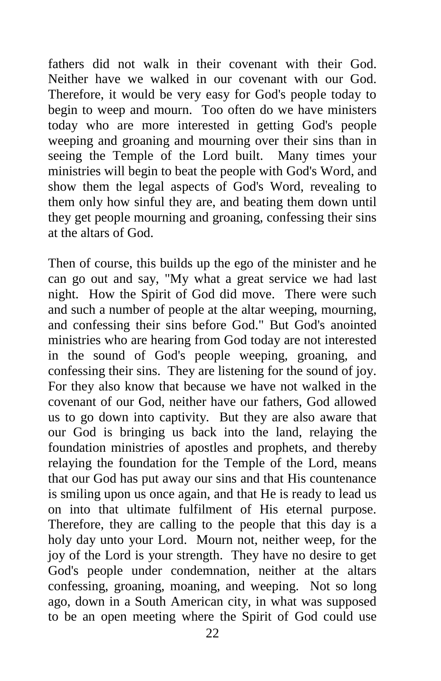fathers did not walk in their covenant with their God. Neither have we walked in our covenant with our God. Therefore, it would be very easy for God's people today to begin to weep and mourn. Too often do we have ministers today who are more interested in getting God's people weeping and groaning and mourning over their sins than in seeing the Temple of the Lord built. Many times your ministries will begin to beat the people with God's Word, and show them the legal aspects of God's Word, revealing to them only how sinful they are, and beating them down until they get people mourning and groaning, confessing their sins at the altars of God.

Then of course, this builds up the ego of the minister and he can go out and say, "My what a great service we had last night. How the Spirit of God did move. There were such and such a number of people at the altar weeping, mourning, and confessing their sins before God." But God's anointed ministries who are hearing from God today are not interested in the sound of God's people weeping, groaning, and confessing their sins. They are listening for the sound of joy. For they also know that because we have not walked in the covenant of our God, neither have our fathers, God allowed us to go down into captivity. But they are also aware that our God is bringing us back into the land, relaying the foundation ministries of apostles and prophets, and thereby relaying the foundation for the Temple of the Lord, means that our God has put away our sins and that His countenance is smiling upon us once again, and that He is ready to lead us on into that ultimate fulfilment of His eternal purpose. Therefore, they are calling to the people that this day is a holy day unto your Lord. Mourn not, neither weep, for the joy of the Lord is your strength. They have no desire to get God's people under condemnation, neither at the altars confessing, groaning, moaning, and weeping. Not so long ago, down in a South American city, in what was supposed to be an open meeting where the Spirit of God could use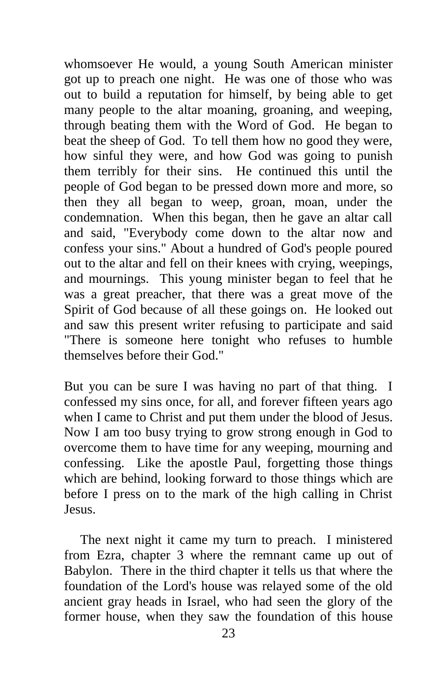whomsoever He would, a young South American minister got up to preach one night. He was one of those who was out to build a reputation for himself, by being able to get many people to the altar moaning, groaning, and weeping, through beating them with the Word of God. He began to beat the sheep of God. To tell them how no good they were, how sinful they were, and how God was going to punish them terribly for their sins. He continued this until the people of God began to be pressed down more and more, so then they all began to weep, groan, moan, under the condemnation. When this began, then he gave an altar call and said, "Everybody come down to the altar now and confess your sins." About a hundred of God's people poured out to the altar and fell on their knees with crying, weepings, and mournings. This young minister began to feel that he was a great preacher, that there was a great move of the Spirit of God because of all these goings on. He looked out and saw this present writer refusing to participate and said "There is someone here tonight who refuses to humble themselves before their God."

But you can be sure I was having no part of that thing. I confessed my sins once, for all, and forever fifteen years ago when I came to Christ and put them under the blood of Jesus. Now I am too busy trying to grow strong enough in God to overcome them to have time for any weeping, mourning and confessing. Like the apostle Paul, forgetting those things which are behind, looking forward to those things which are before I press on to the mark of the high calling in Christ Jesus.

The next night it came my turn to preach. I ministered from Ezra, chapter 3 where the remnant came up out of Babylon. There in the third chapter it tells us that where the foundation of the Lord's house was relayed some of the old ancient gray heads in Israel, who had seen the glory of the former house, when they saw the foundation of this house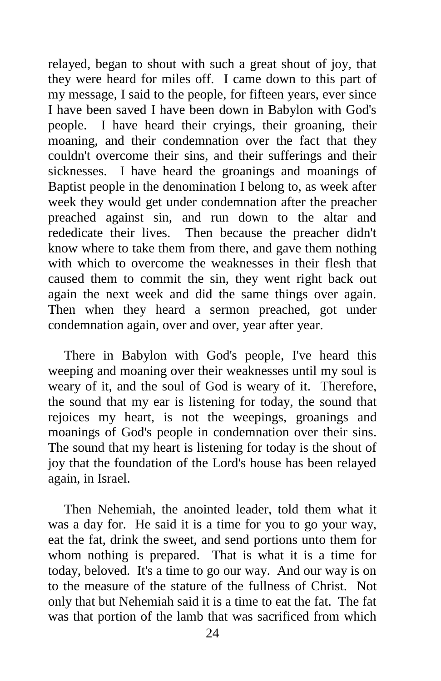relayed, began to shout with such a great shout of joy, that they were heard for miles off. I came down to this part of my message, I said to the people, for fifteen years, ever since I have been saved I have been down in Babylon with God's people. I have heard their cryings, their groaning, their moaning, and their condemnation over the fact that they couldn't overcome their sins, and their sufferings and their sicknesses. I have heard the groanings and moanings of Baptist people in the denomination I belong to, as week after week they would get under condemnation after the preacher preached against sin, and run down to the altar and rededicate their lives. Then because the preacher didn't know where to take them from there, and gave them nothing with which to overcome the weaknesses in their flesh that caused them to commit the sin, they went right back out again the next week and did the same things over again. Then when they heard a sermon preached, got under condemnation again, over and over, year after year.

There in Babylon with God's people, I've heard this weeping and moaning over their weaknesses until my soul is weary of it, and the soul of God is weary of it. Therefore, the sound that my ear is listening for today, the sound that rejoices my heart, is not the weepings, groanings and moanings of God's people in condemnation over their sins. The sound that my heart is listening for today is the shout of joy that the foundation of the Lord's house has been relayed again, in Israel.

Then Nehemiah, the anointed leader, told them what it was a day for. He said it is a time for you to go your way, eat the fat, drink the sweet, and send portions unto them for whom nothing is prepared. That is what it is a time for today, beloved. It's a time to go our way. And our way is on to the measure of the stature of the fullness of Christ. Not only that but Nehemiah said it is a time to eat the fat. The fat was that portion of the lamb that was sacrificed from which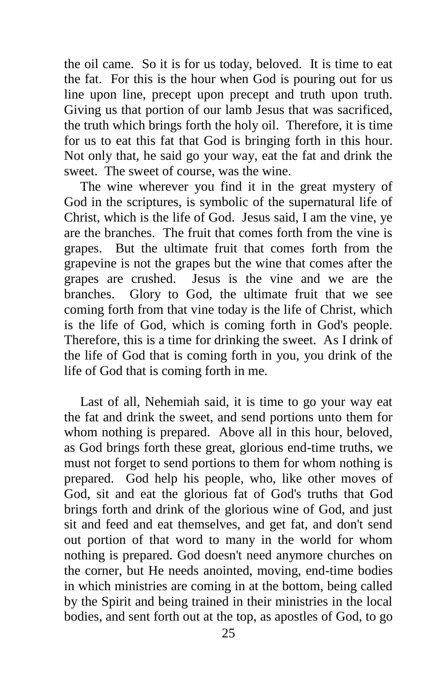the oil came. So it is for us today, beloved. It is time to eat the fat. For this is the hour when God is pouring out for us line upon line, precept upon precept and truth upon truth. Giving us that portion of our lamb Jesus that was sacrificed, the truth which brings forth the holy oil. Therefore, it is time for us to eat this fat that God is bringing forth in this hour. Not only that, he said go your way, eat the fat and drink the sweet. The sweet of course, was the wine.

The wine wherever you find it in the great mystery of God in the scriptures, is symbolic of the supernatural life of Christ, which is the life of God. Jesus said, I am the vine, ye are the branches. The fruit that comes forth from the vine is grapes. But the ultimate fruit that comes forth from the grapevine is not the grapes but the wine that comes after the grapes are crushed. Jesus is the vine and we are the branches. Glory to God, the ultimate fruit that we see coming forth from that vine today is the life of Christ, which is the life of God, which is coming forth in God's people. Therefore, this is a time for drinking the sweet. As I drink of the life of God that is coming forth in you, you drink of the life of God that is coming forth in me.

Last of all, Nehemiah said, it is time to go your way eat the fat and drink the sweet, and send portions unto them for whom nothing is prepared. Above all in this hour, beloved, as God brings forth these great, glorious end-time truths, we must not forget to send portions to them for whom nothing is prepared. God help his people, who, like other moves of God, sit and eat the glorious fat of God's truths that God brings forth and drink of the glorious wine of God, and just sit and feed and eat themselves, and get fat, and don't send out portion of that word to many in the world for whom nothing is prepared. God doesn't need anymore churches on the corner, but He needs anointed, moving, end-time bodies in which ministries are coming in at the bottom, being called by the Spirit and being trained in their ministries in the local bodies, and sent forth out at the top, as apostles of God, to go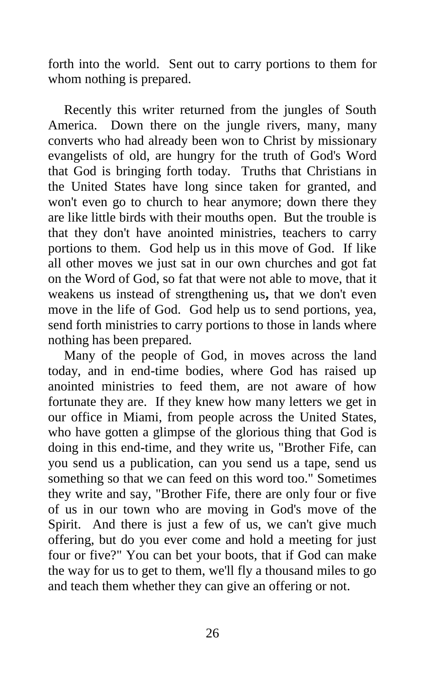forth into the world. Sent out to carry portions to them for whom nothing is prepared.

Recently this writer returned from the jungles of South America. Down there on the jungle rivers, many, many converts who had already been won to Christ by missionary evangelists of old, are hungry for the truth of God's Word that God is bringing forth today. Truths that Christians in the United States have long since taken for granted, and won't even go to church to hear anymore; down there they are like little birds with their mouths open. But the trouble is that they don't have anointed ministries, teachers to carry portions to them. God help us in this move of God. If like all other moves we just sat in our own churches and got fat on the Word of God, so fat that were not able to move, that it weakens us instead of strengthening us**,** that we don't even move in the life of God. God help us to send portions, yea, send forth ministries to carry portions to those in lands where nothing has been prepared.

Many of the people of God, in moves across the land today, and in end-time bodies, where God has raised up anointed ministries to feed them, are not aware of how fortunate they are. If they knew how many letters we get in our office in Miami, from people across the United States, who have gotten a glimpse of the glorious thing that God is doing in this end-time, and they write us, "Brother Fife, can you send us a publication, can you send us a tape, send us something so that we can feed on this word too." Sometimes they write and say, "Brother Fife, there are only four or five of us in our town who are moving in God's move of the Spirit. And there is just a few of us, we can't give much offering, but do you ever come and hold a meeting for just four or five?" You can bet your boots, that if God can make the way for us to get to them, we'll fly a thousand miles to go and teach them whether they can give an offering or not.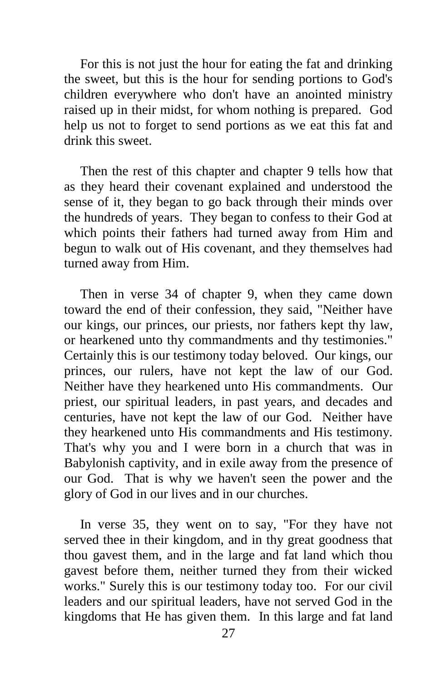For this is not just the hour for eating the fat and drinking the sweet, but this is the hour for sending portions to God's children everywhere who don't have an anointed ministry raised up in their midst, for whom nothing is prepared. God help us not to forget to send portions as we eat this fat and drink this sweet.

Then the rest of this chapter and chapter 9 tells how that as they heard their covenant explained and understood the sense of it, they began to go back through their minds over the hundreds of years. They began to confess to their God at which points their fathers had turned away from Him and begun to walk out of His covenant, and they themselves had turned away from Him.

Then in verse 34 of chapter 9, when they came down toward the end of their confession, they said, "Neither have our kings, our princes, our priests, nor fathers kept thy law, or hearkened unto thy commandments and thy testimonies." Certainly this is our testimony today beloved. Our kings, our princes, our rulers, have not kept the law of our God. Neither have they hearkened unto His commandments. Our priest, our spiritual leaders, in past years, and decades and centuries, have not kept the law of our God. Neither have they hearkened unto His commandments and His testimony. That's why you and I were born in a church that was in Babylonish captivity, and in exile away from the presence of our God. That is why we haven't seen the power and the glory of God in our lives and in our churches.

In verse 35, they went on to say, "For they have not served thee in their kingdom, and in thy great goodness that thou gavest them, and in the large and fat land which thou gavest before them, neither turned they from their wicked works." Surely this is our testimony today too. For our civil leaders and our spiritual leaders, have not served God in the kingdoms that He has given them. In this large and fat land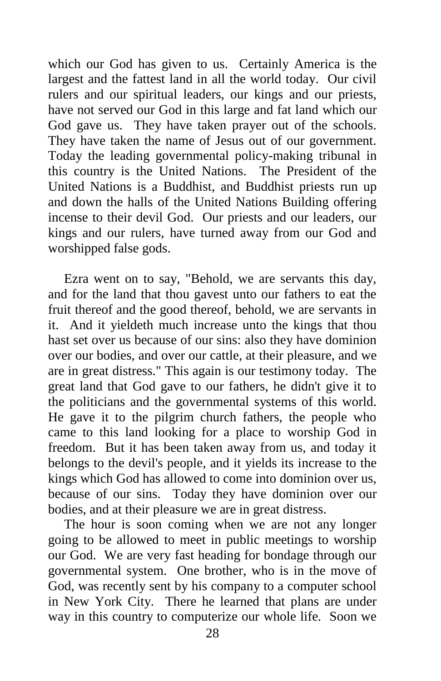which our God has given to us. Certainly America is the largest and the fattest land in all the world today. Our civil rulers and our spiritual leaders, our kings and our priests, have not served our God in this large and fat land which our God gave us. They have taken prayer out of the schools. They have taken the name of Jesus out of our government. Today the leading governmental policy-making tribunal in this country is the United Nations. The President of the United Nations is a Buddhist, and Buddhist priests run up and down the halls of the United Nations Building offering incense to their devil God. Our priests and our leaders, our kings and our rulers, have turned away from our God and worshipped false gods.

Ezra went on to say, "Behold, we are servants this day, and for the land that thou gavest unto our fathers to eat the fruit thereof and the good thereof, behold, we are servants in it. And it yieldeth much increase unto the kings that thou hast set over us because of our sins: also they have dominion over our bodies, and over our cattle, at their pleasure, and we are in great distress." This again is our testimony today. The great land that God gave to our fathers, he didn't give it to the politicians and the governmental systems of this world. He gave it to the pilgrim church fathers, the people who came to this land looking for a place to worship God in freedom. But it has been taken away from us, and today it belongs to the devil's people, and it yields its increase to the kings which God has allowed to come into dominion over us, because of our sins. Today they have dominion over our bodies, and at their pleasure we are in great distress.

The hour is soon coming when we are not any longer going to be allowed to meet in public meetings to worship our God. We are very fast heading for bondage through our governmental system. One brother, who is in the move of God, was recently sent by his company to a computer school in New York City. There he learned that plans are under way in this country to computerize our whole life. Soon we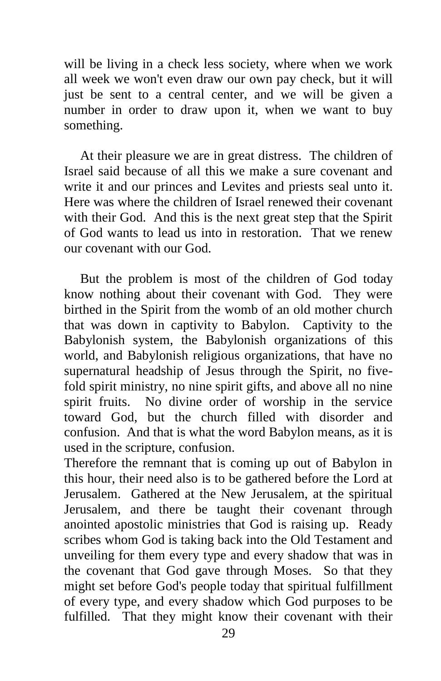will be living in a check less society, where when we work all week we won't even draw our own pay check, but it will just be sent to a central center, and we will be given a number in order to draw upon it, when we want to buy something.

At their pleasure we are in great distress. The children of Israel said because of all this we make a sure covenant and write it and our princes and Levites and priests seal unto it. Here was where the children of Israel renewed their covenant with their God. And this is the next great step that the Spirit of God wants to lead us into in restoration. That we renew our covenant with our God.

But the problem is most of the children of God today know nothing about their covenant with God. They were birthed in the Spirit from the womb of an old mother church that was down in captivity to Babylon. Captivity to the Babylonish system, the Babylonish organizations of this world, and Babylonish religious organizations, that have no supernatural headship of Jesus through the Spirit, no fivefold spirit ministry, no nine spirit gifts, and above all no nine spirit fruits. No divine order of worship in the service toward God, but the church filled with disorder and confusion. And that is what the word Babylon means, as it is used in the scripture, confusion.

Therefore the remnant that is coming up out of Babylon in this hour, their need also is to be gathered before the Lord at Jerusalem. Gathered at the New Jerusalem, at the spiritual Jerusalem, and there be taught their covenant through anointed apostolic ministries that God is raising up. Ready scribes whom God is taking back into the Old Testament and unveiling for them every type and every shadow that was in the covenant that God gave through Moses. So that they might set before God's people today that spiritual fulfillment of every type, and every shadow which God purposes to be fulfilled. That they might know their covenant with their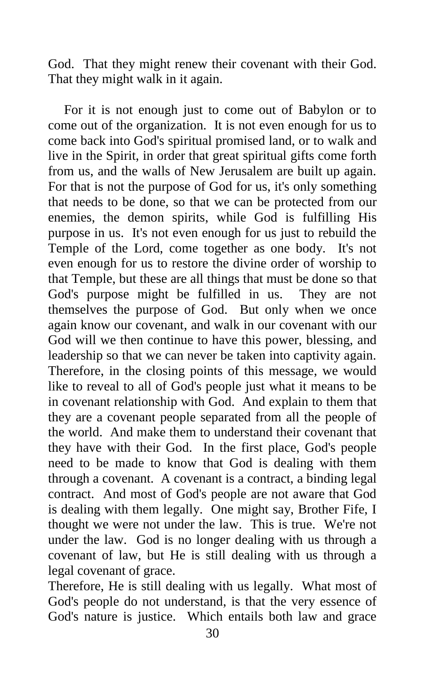God. That they might renew their covenant with their God. That they might walk in it again.

For it is not enough just to come out of Babylon or to come out of the organization. It is not even enough for us to come back into God's spiritual promised land, or to walk and live in the Spirit, in order that great spiritual gifts come forth from us, and the walls of New Jerusalem are built up again. For that is not the purpose of God for us, it's only something that needs to be done, so that we can be protected from our enemies, the demon spirits, while God is fulfilling His purpose in us. It's not even enough for us just to rebuild the Temple of the Lord, come together as one body. It's not even enough for us to restore the divine order of worship to that Temple, but these are all things that must be done so that God's purpose might be fulfilled in us. They are not themselves the purpose of God. But only when we once again know our covenant, and walk in our covenant with our God will we then continue to have this power, blessing, and leadership so that we can never be taken into captivity again. Therefore, in the closing points of this message, we would like to reveal to all of God's people just what it means to be in covenant relationship with God. And explain to them that they are a covenant people separated from all the people of the world. And make them to understand their covenant that they have with their God. In the first place, God's people need to be made to know that God is dealing with them through a covenant. A covenant is a contract, a binding legal contract. And most of God's people are not aware that God is dealing with them legally. One might say, Brother Fife, I thought we were not under the law. This is true. We're not under the law. God is no longer dealing with us through a covenant of law, but He is still dealing with us through a legal covenant of grace.

Therefore, He is still dealing with us legally. What most of God's people do not understand, is that the very essence of God's nature is justice. Which entails both law and grace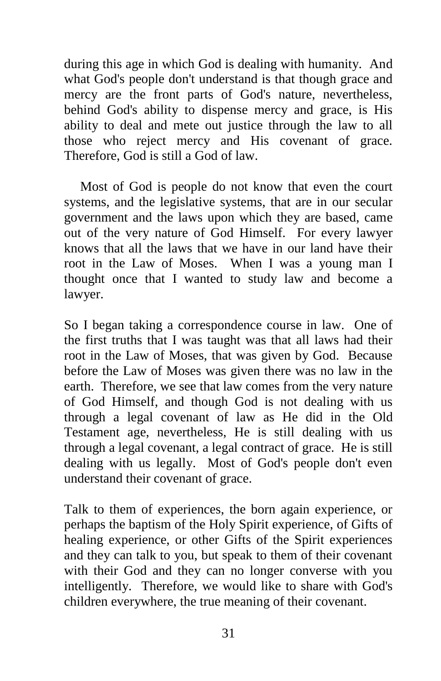during this age in which God is dealing with humanity. And what God's people don't understand is that though grace and mercy are the front parts of God's nature, nevertheless, behind God's ability to dispense mercy and grace, is His ability to deal and mete out justice through the law to all those who reject mercy and His covenant of grace. Therefore, God is still a God of law.

Most of God is people do not know that even the court systems, and the legislative systems, that are in our secular government and the laws upon which they are based, came out of the very nature of God Himself. For every lawyer knows that all the laws that we have in our land have their root in the Law of Moses. When I was a young man I thought once that I wanted to study law and become a lawyer.

So I began taking a correspondence course in law. One of the first truths that I was taught was that all laws had their root in the Law of Moses, that was given by God. Because before the Law of Moses was given there was no law in the earth. Therefore, we see that law comes from the very nature of God Himself, and though God is not dealing with us through a legal covenant of law as He did in the Old Testament age, nevertheless, He is still dealing with us through a legal covenant, a legal contract of grace. He is still dealing with us legally. Most of God's people don't even understand their covenant of grace.

Talk to them of experiences, the born again experience, or perhaps the baptism of the Holy Spirit experience, of Gifts of healing experience, or other Gifts of the Spirit experiences and they can talk to you, but speak to them of their covenant with their God and they can no longer converse with you intelligently. Therefore, we would like to share with God's children everywhere, the true meaning of their covenant.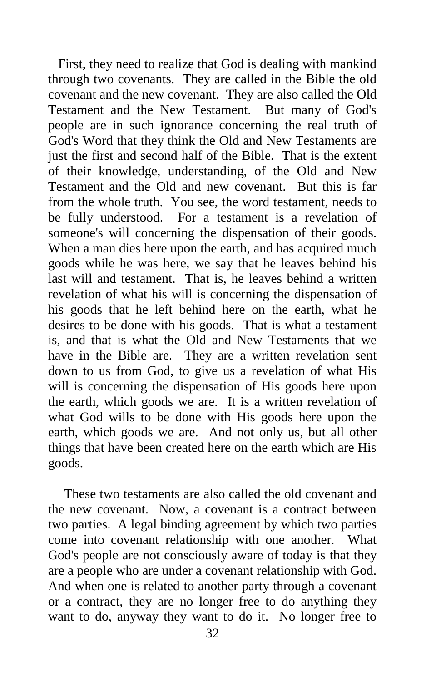First, they need to realize that God is dealing with mankind through two covenants. They are called in the Bible the old covenant and the new covenant. They are also called the Old Testament and the New Testament. But many of God's people are in such ignorance concerning the real truth of God's Word that they think the Old and New Testaments are just the first and second half of the Bible. That is the extent of their knowledge, understanding, of the Old and New Testament and the Old and new covenant. But this is far from the whole truth. You see, the word testament, needs to be fully understood. For a testament is a revelation of someone's will concerning the dispensation of their goods. When a man dies here upon the earth, and has acquired much goods while he was here, we say that he leaves behind his last will and testament. That is, he leaves behind a written revelation of what his will is concerning the dispensation of his goods that he left behind here on the earth, what he desires to be done with his goods. That is what a testament is, and that is what the Old and New Testaments that we have in the Bible are. They are a written revelation sent down to us from God, to give us a revelation of what His will is concerning the dispensation of His goods here upon the earth, which goods we are. It is a written revelation of what God wills to be done with His goods here upon the earth, which goods we are. And not only us, but all other things that have been created here on the earth which are His goods.

These two testaments are also called the old covenant and the new covenant. Now, a covenant is a contract between two parties. A legal binding agreement by which two parties come into covenant relationship with one another. What God's people are not consciously aware of today is that they are a people who are under a covenant relationship with God. And when one is related to another party through a covenant or a contract, they are no longer free to do anything they want to do, anyway they want to do it. No longer free to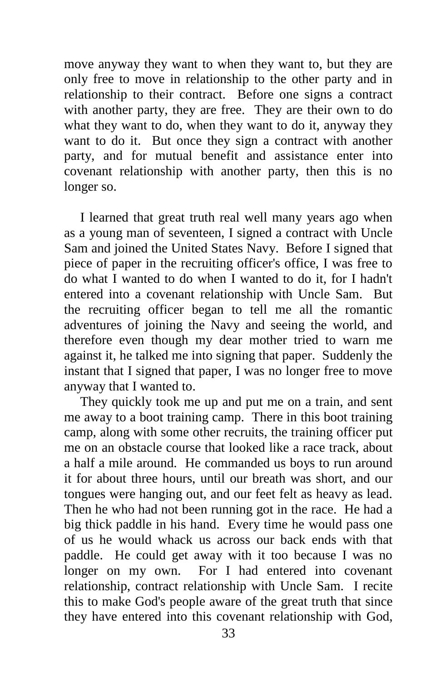move anyway they want to when they want to, but they are only free to move in relationship to the other party and in relationship to their contract. Before one signs a contract with another party, they are free. They are their own to do what they want to do, when they want to do it, anyway they want to do it. But once they sign a contract with another party, and for mutual benefit and assistance enter into covenant relationship with another party, then this is no longer so.

I learned that great truth real well many years ago when as a young man of seventeen, I signed a contract with Uncle Sam and joined the United States Navy. Before I signed that piece of paper in the recruiting officer's office, I was free to do what I wanted to do when I wanted to do it, for I hadn't entered into a covenant relationship with Uncle Sam. But the recruiting officer began to tell me all the romantic adventures of joining the Navy and seeing the world, and therefore even though my dear mother tried to warn me against it, he talked me into signing that paper. Suddenly the instant that I signed that paper, I was no longer free to move anyway that I wanted to.

They quickly took me up and put me on a train, and sent me away to a boot training camp. There in this boot training camp, along with some other recruits, the training officer put me on an obstacle course that looked like a race track, about a half a mile around. He commanded us boys to run around it for about three hours, until our breath was short, and our tongues were hanging out, and our feet felt as heavy as lead. Then he who had not been running got in the race. He had a big thick paddle in his hand. Every time he would pass one of us he would whack us across our back ends with that paddle. He could get away with it too because I was no longer on my own. For I had entered into covenant relationship, contract relationship with Uncle Sam. I recite this to make God's people aware of the great truth that since they have entered into this covenant relationship with God,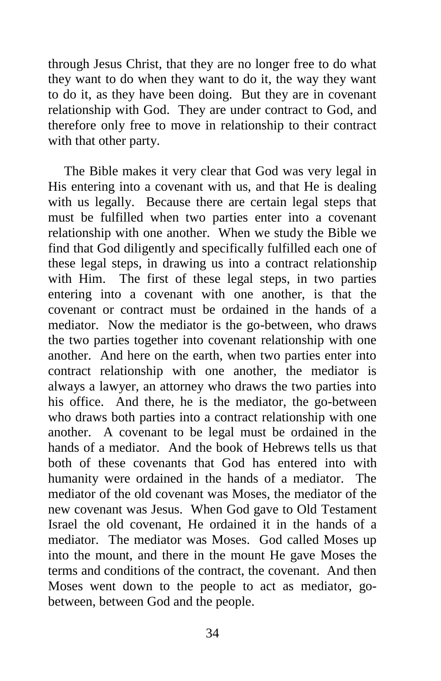through Jesus Christ, that they are no longer free to do what they want to do when they want to do it, the way they want to do it, as they have been doing. But they are in covenant relationship with God. They are under contract to God, and therefore only free to move in relationship to their contract with that other party.

The Bible makes it very clear that God was very legal in His entering into a covenant with us, and that He is dealing with us legally. Because there are certain legal steps that must be fulfilled when two parties enter into a covenant relationship with one another. When we study the Bible we find that God diligently and specifically fulfilled each one of these legal steps, in drawing us into a contract relationship with Him. The first of these legal steps, in two parties entering into a covenant with one another, is that the covenant or contract must be ordained in the hands of a mediator. Now the mediator is the go-between, who draws the two parties together into covenant relationship with one another. And here on the earth, when two parties enter into contract relationship with one another, the mediator is always a lawyer, an attorney who draws the two parties into his office. And there, he is the mediator, the go-between who draws both parties into a contract relationship with one another. A covenant to be legal must be ordained in the hands of a mediator. And the book of Hebrews tells us that both of these covenants that God has entered into with humanity were ordained in the hands of a mediator. The mediator of the old covenant was Moses, the mediator of the new covenant was Jesus. When God gave to Old Testament Israel the old covenant, He ordained it in the hands of a mediator. The mediator was Moses. God called Moses up into the mount, and there in the mount He gave Moses the terms and conditions of the contract, the covenant. And then Moses went down to the people to act as mediator, gobetween, between God and the people.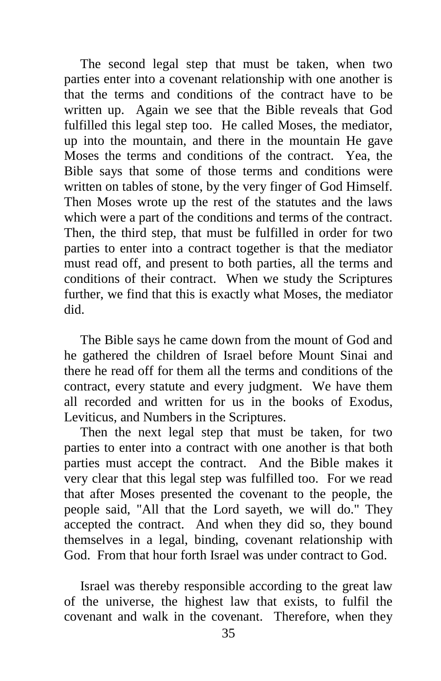The second legal step that must be taken, when two parties enter into a covenant relationship with one another is that the terms and conditions of the contract have to be written up. Again we see that the Bible reveals that God fulfilled this legal step too. He called Moses, the mediator, up into the mountain, and there in the mountain He gave Moses the terms and conditions of the contract. Yea, the Bible says that some of those terms and conditions were written on tables of stone, by the very finger of God Himself. Then Moses wrote up the rest of the statutes and the laws which were a part of the conditions and terms of the contract. Then, the third step, that must be fulfilled in order for two parties to enter into a contract together is that the mediator must read off, and present to both parties, all the terms and conditions of their contract. When we study the Scriptures further, we find that this is exactly what Moses, the mediator did.

The Bible says he came down from the mount of God and he gathered the children of Israel before Mount Sinai and there he read off for them all the terms and conditions of the contract, every statute and every judgment. We have them all recorded and written for us in the books of Exodus, Leviticus, and Numbers in the Scriptures.

Then the next legal step that must be taken, for two parties to enter into a contract with one another is that both parties must accept the contract. And the Bible makes it very clear that this legal step was fulfilled too. For we read that after Moses presented the covenant to the people, the people said, "All that the Lord sayeth, we will do." They accepted the contract. And when they did so, they bound themselves in a legal, binding, covenant relationship with God. From that hour forth Israel was under contract to God.

Israel was thereby responsible according to the great law of the universe, the highest law that exists, to fulfil the covenant and walk in the covenant. Therefore, when they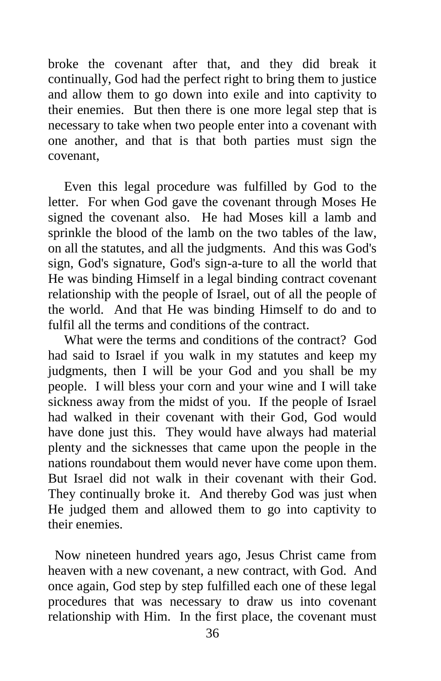broke the covenant after that, and they did break it continually, God had the perfect right to bring them to justice and allow them to go down into exile and into captivity to their enemies. But then there is one more legal step that is necessary to take when two people enter into a covenant with one another, and that is that both parties must sign the covenant,

Even this legal procedure was fulfilled by God to the letter. For when God gave the covenant through Moses He signed the covenant also. He had Moses kill a lamb and sprinkle the blood of the lamb on the two tables of the law, on all the statutes, and all the judgments. And this was God's sign, God's signature, God's sign-a-ture to all the world that He was binding Himself in a legal binding contract covenant relationship with the people of Israel, out of all the people of the world. And that He was binding Himself to do and to fulfil all the terms and conditions of the contract.

What were the terms and conditions of the contract? God had said to Israel if you walk in my statutes and keep my judgments, then I will be your God and you shall be my people. I will bless your corn and your wine and I will take sickness away from the midst of you. If the people of Israel had walked in their covenant with their God, God would have done just this. They would have always had material plenty and the sicknesses that came upon the people in the nations roundabout them would never have come upon them. But Israel did not walk in their covenant with their God. They continually broke it. And thereby God was just when He judged them and allowed them to go into captivity to their enemies.

 Now nineteen hundred years ago, Jesus Christ came from heaven with a new covenant, a new contract, with God. And once again, God step by step fulfilled each one of these legal procedures that was necessary to draw us into covenant relationship with Him. In the first place, the covenant must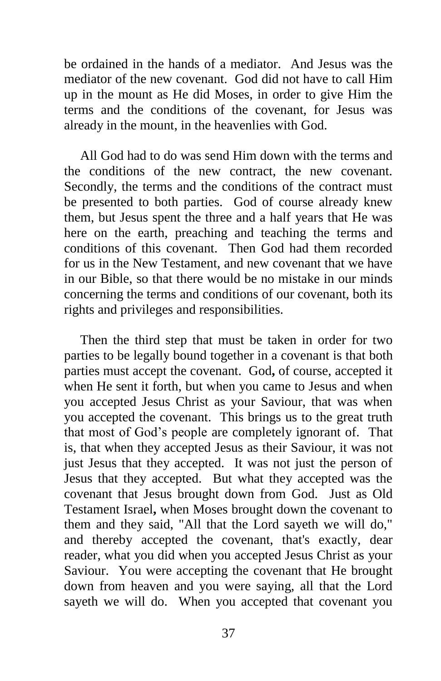be ordained in the hands of a mediator. And Jesus was the mediator of the new covenant. God did not have to call Him up in the mount as He did Moses, in order to give Him the terms and the conditions of the covenant, for Jesus was already in the mount, in the heavenlies with God.

All God had to do was send Him down with the terms and the conditions of the new contract, the new covenant. Secondly, the terms and the conditions of the contract must be presented to both parties. God of course already knew them, but Jesus spent the three and a half years that He was here on the earth, preaching and teaching the terms and conditions of this covenant. Then God had them recorded for us in the New Testament, and new covenant that we have in our Bible, so that there would be no mistake in our minds concerning the terms and conditions of our covenant, both its rights and privileges and responsibilities.

Then the third step that must be taken in order for two parties to be legally bound together in a covenant is that both parties must accept the covenant. God**,** of course, accepted it when He sent it forth, but when you came to Jesus and when you accepted Jesus Christ as your Saviour, that was when you accepted the covenant. This brings us to the great truth that most of God's people are completely ignorant of. That is, that when they accepted Jesus as their Saviour, it was not just Jesus that they accepted. It was not just the person of Jesus that they accepted. But what they accepted was the covenant that Jesus brought down from God. Just as Old Testament Israel**,** when Moses brought down the covenant to them and they said, "All that the Lord sayeth we will do," and thereby accepted the covenant, that's exactly, dear reader, what you did when you accepted Jesus Christ as your Saviour. You were accepting the covenant that He brought down from heaven and you were saying, all that the Lord sayeth we will do. When you accepted that covenant you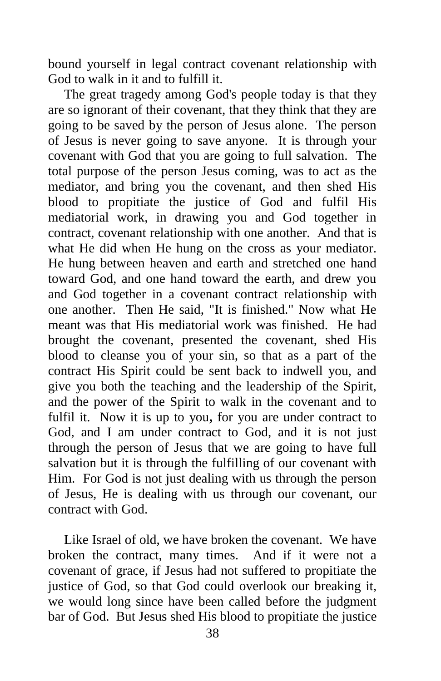bound yourself in legal contract covenant relationship with God to walk in it and to fulfill it.

The great tragedy among God's people today is that they are so ignorant of their covenant, that they think that they are going to be saved by the person of Jesus alone. The person of Jesus is never going to save anyone. It is through your covenant with God that you are going to full salvation. The total purpose of the person Jesus coming, was to act as the mediator, and bring you the covenant, and then shed His blood to propitiate the justice of God and fulfil His mediatorial work, in drawing you and God together in contract, covenant relationship with one another. And that is what He did when He hung on the cross as your mediator. He hung between heaven and earth and stretched one hand toward God, and one hand toward the earth, and drew you and God together in a covenant contract relationship with one another. Then He said, "It is finished." Now what He meant was that His mediatorial work was finished. He had brought the covenant, presented the covenant, shed His blood to cleanse you of your sin, so that as a part of the contract His Spirit could be sent back to indwell you, and give you both the teaching and the leadership of the Spirit, and the power of the Spirit to walk in the covenant and to fulfil it. Now it is up to you**,** for you are under contract to God, and I am under contract to God, and it is not just through the person of Jesus that we are going to have full salvation but it is through the fulfilling of our covenant with Him. For God is not just dealing with us through the person of Jesus, He is dealing with us through our covenant, our contract with God.

Like Israel of old, we have broken the covenant. We have broken the contract, many times. And if it were not a covenant of grace, if Jesus had not suffered to propitiate the justice of God, so that God could overlook our breaking it, we would long since have been called before the judgment bar of God. But Jesus shed His blood to propitiate the justice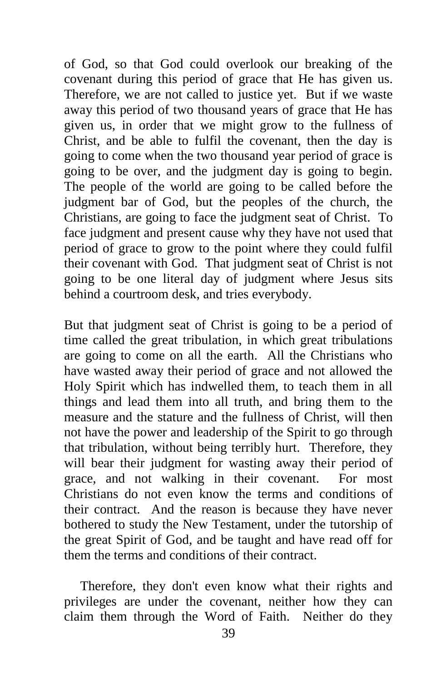of God, so that God could overlook our breaking of the covenant during this period of grace that He has given us. Therefore, we are not called to justice yet. But if we waste away this period of two thousand years of grace that He has given us, in order that we might grow to the fullness of Christ, and be able to fulfil the covenant, then the day is going to come when the two thousand year period of grace is going to be over, and the judgment day is going to begin. The people of the world are going to be called before the judgment bar of God, but the peoples of the church, the Christians, are going to face the judgment seat of Christ. To face judgment and present cause why they have not used that period of grace to grow to the point where they could fulfil their covenant with God. That judgment seat of Christ is not going to be one literal day of judgment where Jesus sits behind a courtroom desk, and tries everybody.

But that judgment seat of Christ is going to be a period of time called the great tribulation, in which great tribulations are going to come on all the earth. All the Christians who have wasted away their period of grace and not allowed the Holy Spirit which has indwelled them, to teach them in all things and lead them into all truth, and bring them to the measure and the stature and the fullness of Christ, will then not have the power and leadership of the Spirit to go through that tribulation, without being terribly hurt. Therefore, they will bear their judgment for wasting away their period of grace, and not walking in their covenant. For most Christians do not even know the terms and conditions of their contract. And the reason is because they have never bothered to study the New Testament, under the tutorship of the great Spirit of God, and be taught and have read off for them the terms and conditions of their contract.

Therefore, they don't even know what their rights and privileges are under the covenant, neither how they can claim them through the Word of Faith. Neither do they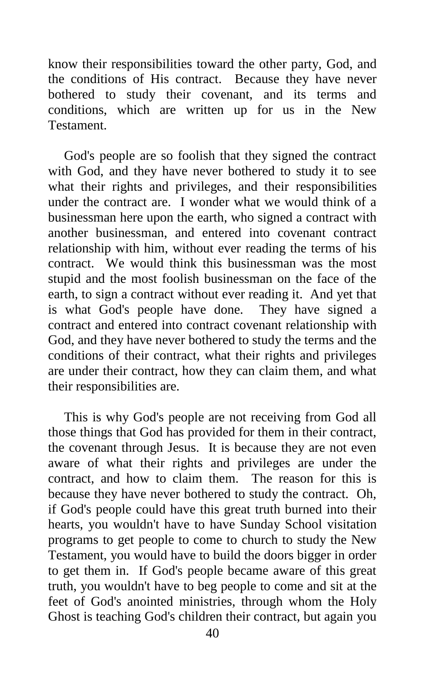know their responsibilities toward the other party, God, and the conditions of His contract. Because they have never bothered to study their covenant, and its terms and conditions, which are written up for us in the New **Testament** 

God's people are so foolish that they signed the contract with God, and they have never bothered to study it to see what their rights and privileges, and their responsibilities under the contract are. I wonder what we would think of a businessman here upon the earth, who signed a contract with another businessman, and entered into covenant contract relationship with him, without ever reading the terms of his contract. We would think this businessman was the most stupid and the most foolish businessman on the face of the earth, to sign a contract without ever reading it. And yet that is what God's people have done. They have signed a contract and entered into contract covenant relationship with God, and they have never bothered to study the terms and the conditions of their contract, what their rights and privileges are under their contract, how they can claim them, and what their responsibilities are.

This is why God's people are not receiving from God all those things that God has provided for them in their contract, the covenant through Jesus. It is because they are not even aware of what their rights and privileges are under the contract, and how to claim them. The reason for this is because they have never bothered to study the contract. Oh, if God's people could have this great truth burned into their hearts, you wouldn't have to have Sunday School visitation programs to get people to come to church to study the New Testament, you would have to build the doors bigger in order to get them in. If God's people became aware of this great truth, you wouldn't have to beg people to come and sit at the feet of God's anointed ministries, through whom the Holy Ghost is teaching God's children their contract, but again you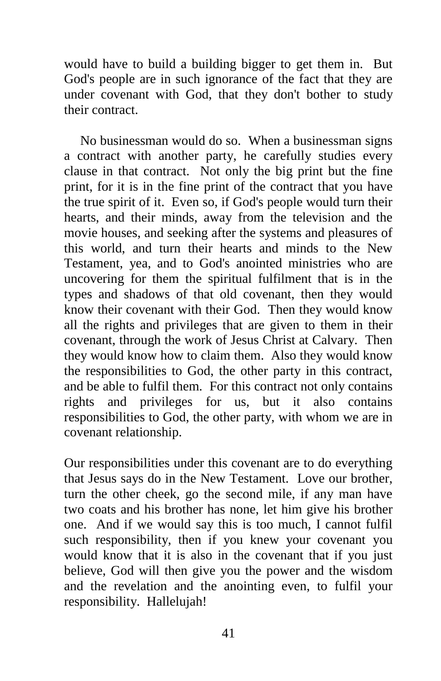would have to build a building bigger to get them in. But God's people are in such ignorance of the fact that they are under covenant with God, that they don't bother to study their contract.

No businessman would do so. When a businessman signs a contract with another party, he carefully studies every clause in that contract. Not only the big print but the fine print, for it is in the fine print of the contract that you have the true spirit of it. Even so, if God's people would turn their hearts, and their minds, away from the television and the movie houses, and seeking after the systems and pleasures of this world, and turn their hearts and minds to the New Testament, yea, and to God's anointed ministries who are uncovering for them the spiritual fulfilment that is in the types and shadows of that old covenant, then they would know their covenant with their God. Then they would know all the rights and privileges that are given to them in their covenant, through the work of Jesus Christ at Calvary. Then they would know how to claim them. Also they would know the responsibilities to God, the other party in this contract, and be able to fulfil them. For this contract not only contains rights and privileges for us, but it also contains responsibilities to God, the other party, with whom we are in covenant relationship.

Our responsibilities under this covenant are to do everything that Jesus says do in the New Testament. Love our brother, turn the other cheek, go the second mile, if any man have two coats and his brother has none, let him give his brother one. And if we would say this is too much, I cannot fulfil such responsibility, then if you knew your covenant you would know that it is also in the covenant that if you just believe, God will then give you the power and the wisdom and the revelation and the anointing even, to fulfil your responsibility. Hallelujah!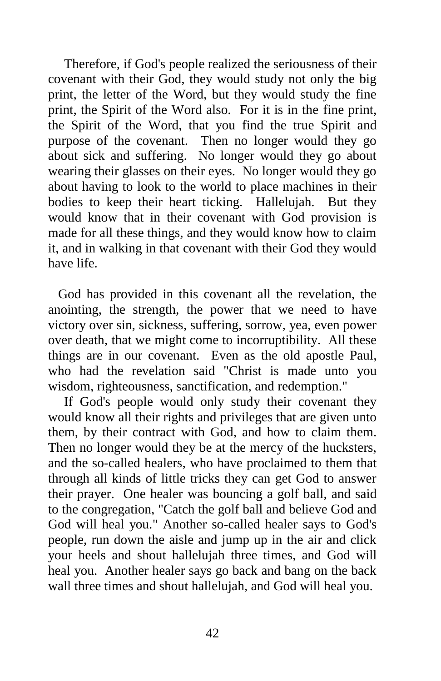Therefore, if God's people realized the seriousness of their covenant with their God, they would study not only the big print, the letter of the Word, but they would study the fine print, the Spirit of the Word also. For it is in the fine print, the Spirit of the Word, that you find the true Spirit and purpose of the covenant. Then no longer would they go about sick and suffering. No longer would they go about wearing their glasses on their eyes. No longer would they go about having to look to the world to place machines in their bodies to keep their heart ticking. Hallelujah. But they would know that in their covenant with God provision is made for all these things, and they would know how to claim it, and in walking in that covenant with their God they would have life.

 God has provided in this covenant all the revelation, the anointing, the strength, the power that we need to have victory over sin, sickness, suffering, sorrow, yea, even power over death, that we might come to incorruptibility. All these things are in our covenant. Even as the old apostle Paul, who had the revelation said "Christ is made unto you wisdom, righteousness, sanctification, and redemption."

If God's people would only study their covenant they would know all their rights and privileges that are given unto them, by their contract with God, and how to claim them. Then no longer would they be at the mercy of the hucksters, and the so-called healers, who have proclaimed to them that through all kinds of little tricks they can get God to answer their prayer. One healer was bouncing a golf ball, and said to the congregation, "Catch the golf ball and believe God and God will heal you." Another so-called healer says to God's people, run down the aisle and jump up in the air and click your heels and shout hallelujah three times, and God will heal you. Another healer says go back and bang on the back wall three times and shout hallelujah, and God will heal you.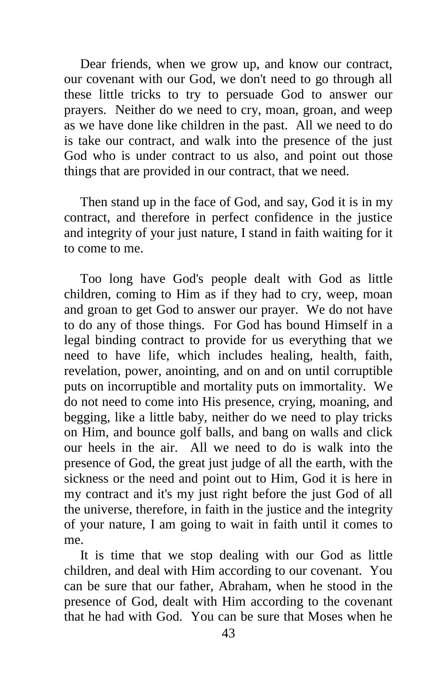Dear friends, when we grow up, and know our contract, our covenant with our God, we don't need to go through all these little tricks to try to persuade God to answer our prayers. Neither do we need to cry, moan, groan, and weep as we have done like children in the past. All we need to do is take our contract, and walk into the presence of the just God who is under contract to us also, and point out those things that are provided in our contract, that we need.

Then stand up in the face of God, and say, God it is in my contract, and therefore in perfect confidence in the justice and integrity of your just nature, I stand in faith waiting for it to come to me.

Too long have God's people dealt with God as little children, coming to Him as if they had to cry, weep, moan and groan to get God to answer our prayer. We do not have to do any of those things. For God has bound Himself in a legal binding contract to provide for us everything that we need to have life, which includes healing, health, faith, revelation, power, anointing, and on and on until corruptible puts on incorruptible and mortality puts on immortality. We do not need to come into His presence, crying, moaning, and begging, like a little baby, neither do we need to play tricks on Him, and bounce golf balls, and bang on walls and click our heels in the air. All we need to do is walk into the presence of God, the great just judge of all the earth, with the sickness or the need and point out to Him, God it is here in my contract and it's my just right before the just God of all the universe, therefore, in faith in the justice and the integrity of your nature, I am going to wait in faith until it comes to me.

It is time that we stop dealing with our God as little children, and deal with Him according to our covenant. You can be sure that our father, Abraham, when he stood in the presence of God, dealt with Him according to the covenant that he had with God. You can be sure that Moses when he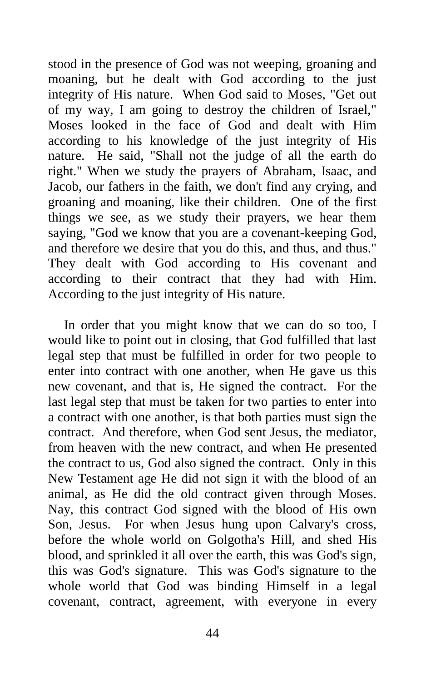stood in the presence of God was not weeping, groaning and moaning, but he dealt with God according to the just integrity of His nature. When God said to Moses, "Get out of my way, I am going to destroy the children of Israel," Moses looked in the face of God and dealt with Him according to his knowledge of the just integrity of His nature. He said, "Shall not the judge of all the earth do right." When we study the prayers of Abraham, Isaac, and Jacob, our fathers in the faith, we don't find any crying, and groaning and moaning, like their children. One of the first things we see, as we study their prayers, we hear them saying, "God we know that you are a covenant-keeping God, and therefore we desire that you do this, and thus, and thus." They dealt with God according to His covenant and according to their contract that they had with Him. According to the just integrity of His nature.

In order that you might know that we can do so too, I would like to point out in closing, that God fulfilled that last legal step that must be fulfilled in order for two people to enter into contract with one another, when He gave us this new covenant, and that is, He signed the contract. For the last legal step that must be taken for two parties to enter into a contract with one another, is that both parties must sign the contract. And therefore, when God sent Jesus, the mediator, from heaven with the new contract, and when He presented the contract to us, God also signed the contract. Only in this New Testament age He did not sign it with the blood of an animal, as He did the old contract given through Moses. Nay, this contract God signed with the blood of His own Son, Jesus. For when Jesus hung upon Calvary's cross, before the whole world on Golgotha's Hill, and shed His blood, and sprinkled it all over the earth, this was God's sign, this was God's signature. This was God's signature to the whole world that God was binding Himself in a legal covenant, contract, agreement, with everyone in every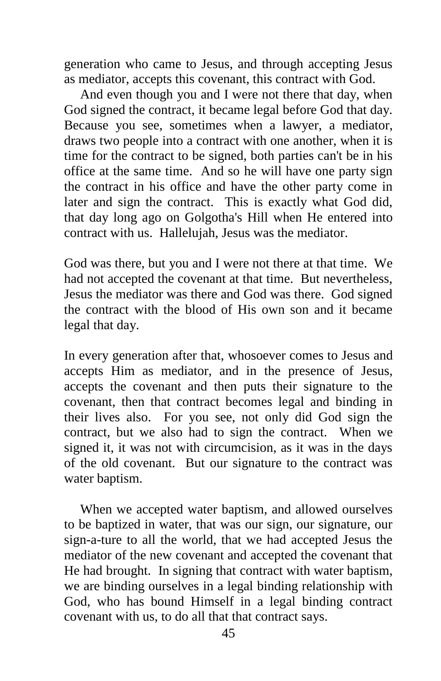generation who came to Jesus, and through accepting Jesus as mediator, accepts this covenant, this contract with God.

And even though you and I were not there that day, when God signed the contract, it became legal before God that day. Because you see, sometimes when a lawyer, a mediator, draws two people into a contract with one another, when it is time for the contract to be signed, both parties can't be in his office at the same time. And so he will have one party sign the contract in his office and have the other party come in later and sign the contract. This is exactly what God did, that day long ago on Golgotha's Hill when He entered into contract with us. Hallelujah, Jesus was the mediator.

God was there, but you and I were not there at that time. We had not accepted the covenant at that time. But nevertheless, Jesus the mediator was there and God was there. God signed the contract with the blood of His own son and it became legal that day.

In every generation after that, whosoever comes to Jesus and accepts Him as mediator, and in the presence of Jesus, accepts the covenant and then puts their signature to the covenant, then that contract becomes legal and binding in their lives also. For you see, not only did God sign the contract, but we also had to sign the contract. When we signed it, it was not with circumcision, as it was in the days of the old covenant. But our signature to the contract was water baptism.

When we accepted water baptism, and allowed ourselves to be baptized in water, that was our sign, our signature, our sign-a-ture to all the world, that we had accepted Jesus the mediator of the new covenant and accepted the covenant that He had brought. In signing that contract with water baptism, we are binding ourselves in a legal binding relationship with God, who has bound Himself in a legal binding contract covenant with us, to do all that that contract says.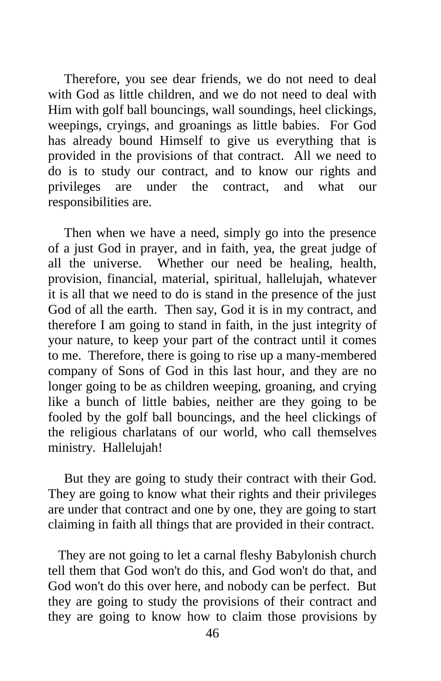Therefore, you see dear friends, we do not need to deal with God as little children, and we do not need to deal with Him with golf ball bouncings, wall soundings, heel clickings, weepings, cryings, and groanings as little babies. For God has already bound Himself to give us everything that is provided in the provisions of that contract. All we need to do is to study our contract, and to know our rights and privileges are under the contract, and what our responsibilities are.

Then when we have a need, simply go into the presence of a just God in prayer, and in faith, yea, the great judge of all the universe. Whether our need be healing, health, provision, financial, material, spiritual, hallelujah, whatever it is all that we need to do is stand in the presence of the just God of all the earth. Then say, God it is in my contract, and therefore I am going to stand in faith, in the just integrity of your nature, to keep your part of the contract until it comes to me. Therefore, there is going to rise up a many-membered company of Sons of God in this last hour, and they are no longer going to be as children weeping, groaning, and crying like a bunch of little babies, neither are they going to be fooled by the golf ball bouncings, and the heel clickings of the religious charlatans of our world, who call themselves ministry. Hallelujah!

But they are going to study their contract with their God. They are going to know what their rights and their privileges are under that contract and one by one, they are going to start claiming in faith all things that are provided in their contract.

 They are not going to let a carnal fleshy Babylonish church tell them that God won't do this, and God won't do that, and God won't do this over here, and nobody can be perfect. But they are going to study the provisions of their contract and they are going to know how to claim those provisions by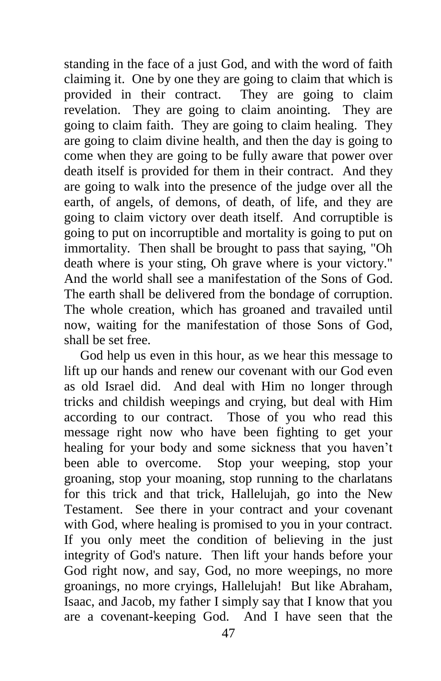standing in the face of a just God, and with the word of faith claiming it. One by one they are going to claim that which is provided in their contract. They are going to claim revelation. They are going to claim anointing. They are going to claim faith. They are going to claim healing. They are going to claim divine health, and then the day is going to come when they are going to be fully aware that power over death itself is provided for them in their contract. And they are going to walk into the presence of the judge over all the earth, of angels, of demons, of death, of life, and they are going to claim victory over death itself. And corruptible is going to put on incorruptible and mortality is going to put on immortality. Then shall be brought to pass that saying, "Oh death where is your sting, Oh grave where is your victory." And the world shall see a manifestation of the Sons of God. The earth shall be delivered from the bondage of corruption. The whole creation, which has groaned and travailed until now, waiting for the manifestation of those Sons of God, shall be set free.

God help us even in this hour, as we hear this message to lift up our hands and renew our covenant with our God even as old Israel did. And deal with Him no longer through tricks and childish weepings and crying, but deal with Him according to our contract. Those of you who read this message right now who have been fighting to get your healing for your body and some sickness that you haven't been able to overcome. Stop your weeping, stop your groaning, stop your moaning, stop running to the charlatans for this trick and that trick, Hallelujah, go into the New Testament. See there in your contract and your covenant with God, where healing is promised to you in your contract. If you only meet the condition of believing in the just integrity of God's nature. Then lift your hands before your God right now, and say, God, no more weepings, no more groanings, no more cryings, Hallelujah! But like Abraham, Isaac, and Jacob, my father I simply say that I know that you are a covenant-keeping God. And I have seen that the